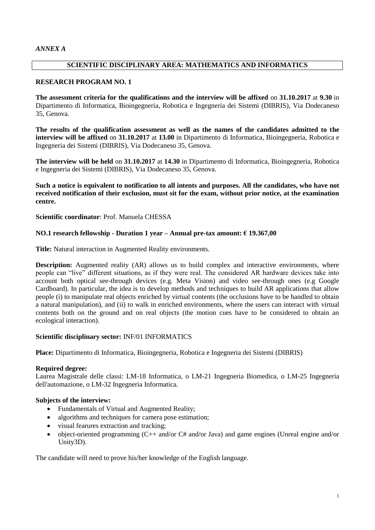## **SCIENTIFIC DISCIPLINARY AREA: MATHEMATICS AND INFORMATICS**

### **RESEARCH PROGRAM NO. 1**

**The assessment criteria for the qualifications and the interview will be affixed** on **31.10.2017** at **9.30** in Dipartimento di Informatica, Bioingegneria, Robotica e Ingegneria dei Sistemi (DIBRIS), Via Dodecaneso 35, Genova.

**The results of the qualification assessment as well as the names of the candidates admitted to the interview will be affixed** on **31.10.2017** at **13.00** in Dipartimento di Informatica, Bioingegneria, Robotica e Ingegneria dei Sistemi (DIBRIS), Via Dodecaneso 35, Genova.

**The interview will be held** on **31.10.2017** at **14.30** in Dipartimento di Informatica, Bioingegneria, Robotica e Ingegneria dei Sistemi (DIBRIS), Via Dodecaneso 35, Genova.

**Such a notice is equivalent to notification to all intents and purposes. All the candidates, who have not received notification of their exclusion, must sit for the exam, without prior notice, at the examination centre.**

**Scientific coordinator**: Prof. Manuela CHESSA

## **NO.1 research fellowship - Duration 1 year – Annual pre-tax amount: € 19.367,00**

**Title:** Natural interaction in Augmented Reality environments.

**Description:** Augmented reality (AR) allows us to build complex and interactive environments, where people can "live" different situations, as if they were real. The considered AR hardware devices take into account both optical see-through devices (e.g. Meta Vision) and video see-through ones (e.g Google Cardboard). In particular, the idea is to develop methods and techniques to build AR applications that allow people (i) to manipulate real objects enriched by virtual contents (the occlusions have to be handled to obtain a natural manipulation), and (ii) to walk in enriched environments, where the users can interact with virtual contents both on the ground and on real objects (the motion cues have to be considered to obtain an ecological interaction).

### **Scientific disciplinary sector:** INF/01 INFORMATICS

**Place:** Dipartimento di Informatica, Bioingegneria, Robotica e Ingegneria dei Sistemi (DIBRIS)

# **Required degree:**

Laurea Magistrale delle classi: LM-18 Informatica, o LM-21 Ingegneria Biomedica, o LM-25 Ingegneria dell'automazione, o LM-32 Ingegneria Informatica.

### **Subjects of the interview:**

- Fundamentals of Virtual and Augmented Reality;
- algorithms and techniques for camera pose estimation;
- visual fearures extraction and tracking;
- object-oriented programming (C++ and/or C# and/or Java) and game engines (Unreal engine and/or Unity3D).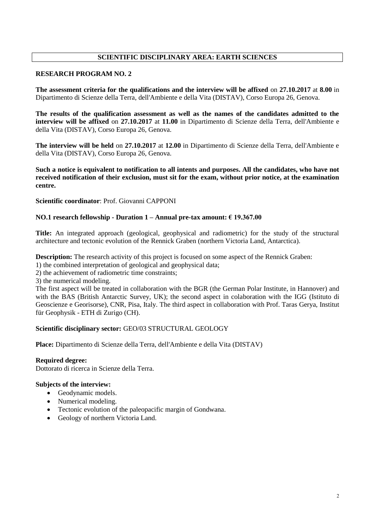# **SCIENTIFIC DISCIPLINARY AREA: EARTH SCIENCES**

### **RESEARCH PROGRAM NO. 2**

**The assessment criteria for the qualifications and the interview will be affixed** on **27.10.2017** at **8.00** in Dipartimento di Scienze della Terra, dell'Ambiente e della Vita (DISTAV), Corso Europa 26, Genova.

**The results of the qualification assessment as well as the names of the candidates admitted to the interview will be affixed** on **27.10.2017** at **11.00** in Dipartimento di Scienze della Terra, dell'Ambiente e della Vita (DISTAV), Corso Europa 26, Genova.

**The interview will be held** on **27.10.2017** at **12.00** in Dipartimento di Scienze della Terra, dell'Ambiente e della Vita (DISTAV), Corso Europa 26, Genova.

**Such a notice is equivalent to notification to all intents and purposes. All the candidates, who have not received notification of their exclusion, must sit for the exam, without prior notice, at the examination centre.**

**Scientific coordinator**: Prof. Giovanni CAPPONI

### **NO.1 research fellowship - Duration 1 – Annual pre-tax amount: € 19.367.00**

**Title:** An integrated approach (geological, geophysical and radiometric) for the study of the structural architecture and tectonic evolution of the Rennick Graben (northern Victoria Land, Antarctica).

**Description:** The research activity of this project is focused on some aspect of the Rennick Graben:

- 1) the combined interpretation of geological and geophysical data;
- 2) the achievement of radiometric time constraints;

3) the numerical modeling.

The first aspect will be treated in collaboration with the BGR (the German Polar Institute, in Hannover) and with the BAS (British Antarctic Survey, UK); the second aspect in colaboration with the IGG (Istituto di Geoscienze e Georisorse), CNR, Pisa, Italy. The third aspect in collaboration with Prof. Taras Gerya, Institut für Geophysik - ETH di Zurigo (CH).

### **Scientific disciplinary sector:** GEO/03 STRUCTURAL GEOLOGY

**Place:** Dipartimento di Scienze della Terra, dell'Ambiente e della Vita (DISTAV)

### **Required degree:**

Dottorato di ricerca in Scienze della Terra.

### **Subjects of the interview:**

- Geodynamic models.
- Numerical modeling.
- Tectonic evolution of the paleopacific margin of Gondwana.
- Geology of northern Victoria Land.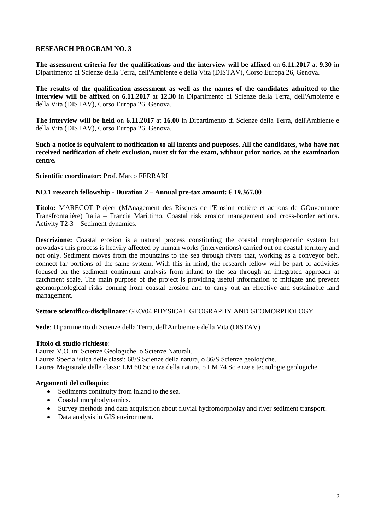**The assessment criteria for the qualifications and the interview will be affixed** on **6.11.2017** at **9.30** in Dipartimento di Scienze della Terra, dell'Ambiente e della Vita (DISTAV), Corso Europa 26, Genova.

**The results of the qualification assessment as well as the names of the candidates admitted to the interview will be affixed** on **6.11.2017** at **12.30** in Dipartimento di Scienze della Terra, dell'Ambiente e della Vita (DISTAV), Corso Europa 26, Genova.

**The interview will be held** on **6.11.2017** at **16.00** in Dipartimento di Scienze della Terra, dell'Ambiente e della Vita (DISTAV), Corso Europa 26, Genova.

**Such a notice is equivalent to notification to all intents and purposes. All the candidates, who have not received notification of their exclusion, must sit for the exam, without prior notice, at the examination centre.**

**Scientific coordinator**: Prof. Marco FERRARI

## **NO.1 research fellowship - Duration 2 – Annual pre-tax amount: € 19.367.00**

**Titolo:** MAREGOT Project (MAnagement des Risques de l'Erosion cotière et actions de GOuvernance Transfrontalière) Italia – Francia Marittimo. Coastal risk erosion management and cross-border actions. Activity T2-3 – Sediment dynamics.

**Descrizione:** Coastal erosion is a natural process constituting the coastal morphogenetic system but nowadays this process is heavily affected by human works (interventions) carried out on coastal territory and not only. Sediment moves from the mountains to the sea through rivers that, working as a conveyor belt, connect far portions of the same system. With this in mind, the research fellow will be part of activities focused on the sediment continuum analysis from inland to the sea through an integrated approach at catchment scale. The main purpose of the project is providing useful information to mitigate and prevent geomorphological risks coming from coastal erosion and to carry out an effective and sustainable land management.

### **Settore scientifico-disciplinare**: GEO/04 PHYSICAL GEOGRAPHY AND GEOMORPHOLOGY

**Sede**: Dipartimento di Scienze della Terra, dell'Ambiente e della Vita (DISTAV)

### **Titolo di studio richiesto**:

Laurea V.O. in: Scienze Geologiche, o Scienze Naturali.

Laurea Specialistica delle classi: 68/S Scienze della natura, o 86/S Scienze geologiche.

Laurea Magistrale delle classi: LM 60 Scienze della natura, o LM 74 Scienze e tecnologie geologiche.

### **Argomenti del colloquio**:

- Sediments continuity from inland to the sea.
- Coastal morphodynamics.
- Survey methods and data acquisition about fluvial hydromorpholgy and river sediment transport.
- Data analysis in GIS environment.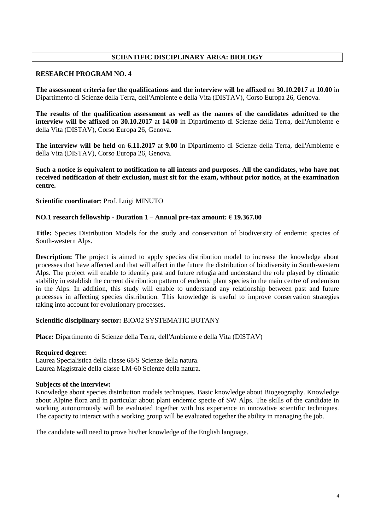# **SCIENTIFIC DISCIPLINARY AREA: BIOLOGY**

### **RESEARCH PROGRAM NO. 4**

**The assessment criteria for the qualifications and the interview will be affixed** on **30.10.2017** at **10.00** in Dipartimento di Scienze della Terra, dell'Ambiente e della Vita (DISTAV), Corso Europa 26, Genova.

**The results of the qualification assessment as well as the names of the candidates admitted to the interview will be affixed** on **30.10.2017** at **14.00** in Dipartimento di Scienze della Terra, dell'Ambiente e della Vita (DISTAV), Corso Europa 26, Genova.

**The interview will be held** on **6.11.2017** at **9.00** in Dipartimento di Scienze della Terra, dell'Ambiente e della Vita (DISTAV), Corso Europa 26, Genova.

**Such a notice is equivalent to notification to all intents and purposes. All the candidates, who have not received notification of their exclusion, must sit for the exam, without prior notice, at the examination centre.**

**Scientific coordinator**: Prof. Luigi MINUTO

### **NO.1 research fellowship - Duration 1 – Annual pre-tax amount: € 19.367.00**

**Title:** Species Distribution Models for the study and conservation of biodiversity of endemic species of South-western Alps.

**Description:** The project is aimed to apply species distribution model to increase the knowledge about processes that have affected and that will affect in the future the distribution of biodiversity in South-western Alps. The project will enable to identify past and future refugia and understand the role played by climatic stability in establish the current distribution pattern of endemic plant species in the main centre of endemism in the Alps. In addition, this study will enable to understand any relationship between past and future processes in affecting species distribution. This knowledge is useful to improve conservation strategies taking into account for evolutionary processes.

## **Scientific disciplinary sector:** BIO/02 SYSTEMATIC BOTANY

**Place:** Dipartimento di Scienze della Terra, dell'Ambiente e della Vita (DISTAV)

#### **Required degree:**

Laurea Specialistica della classe 68/S Scienze della natura. Laurea Magistrale della classe LM-60 Scienze della natura.

### **Subjects of the interview:**

Knowledge about species distribution models techniques. Basic knowledge about Biogeography. Knowledge about Alpine flora and in particular about plant endemic specie of SW Alps. The skills of the candidate in working autonomously will be evaluated together with his experience in innovative scientific techniques. The capacity to interact with a working group will be evaluated together the ability in managing the job.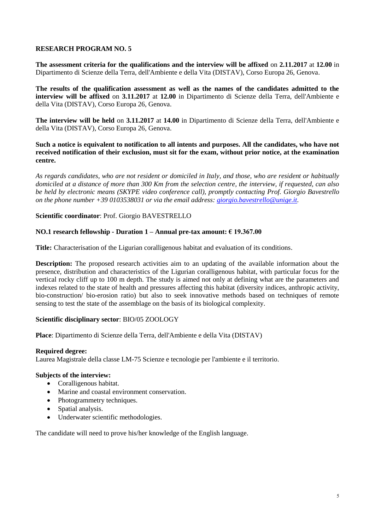**The assessment criteria for the qualifications and the interview will be affixed** on **2.11.2017** at **12.00** in Dipartimento di Scienze della Terra, dell'Ambiente e della Vita (DISTAV), Corso Europa 26, Genova.

**The results of the qualification assessment as well as the names of the candidates admitted to the interview will be affixed** on **3.11.2017** at **12.00** in Dipartimento di Scienze della Terra, dell'Ambiente e della Vita (DISTAV), Corso Europa 26, Genova.

**The interview will be held** on **3.11.2017** at **14.00** in Dipartimento di Scienze della Terra, dell'Ambiente e della Vita (DISTAV), Corso Europa 26, Genova.

**Such a notice is equivalent to notification to all intents and purposes. All the candidates, who have not received notification of their exclusion, must sit for the exam, without prior notice, at the examination centre.**

*As regards candidates, who are not resident or domiciled in Italy, and those, who are resident or habitually domiciled at a distance of more than 300 Km from the selection centre, the interview, if requested, can also be held by electronic means (SKYPE video conference call), promptly contacting Prof. Giorgio Bavestrello on the phone number +39 0103538031 or via the email address: [giorgio.bavestrello@unige.it.](mailto:giorgio.bavestrello@unige.it)*

### **Scientific coordinator**: Prof. Giorgio BAVESTRELLO

### **NO.1 research fellowship - Duration 1 – Annual pre-tax amount: € 19.367.00**

**Title:** Characterisation of the Ligurian coralligenous habitat and evaluation of its conditions.

**Description:** The proposed research activities aim to an updating of the available information about the presence, distribution and characteristics of the Ligurian coralligenous habitat, with particular focus for the vertical rocky cliff up to 100 m depth. The study is aimed not only at defining what are the parameters and indexes related to the state of health and pressures affecting this habitat (diversity indices, anthropic activity, bio-construction/ bio-erosion ratio) but also to seek innovative methods based on techniques of remote sensing to test the state of the assemblage on the basis of its biological complexity.

### **Scientific disciplinary sector**: BIO/05 ZOOLOGY

**Place**: Dipartimento di Scienze della Terra, dell'Ambiente e della Vita (DISTAV)

### **Required degree:**

Laurea Magistrale della classe LM-75 Scienze e tecnologie per l'ambiente e il territorio.

## **Subjects of the interview:**

- Coralligenous habitat.
- Marine and coastal environment conservation.
- Photogrammetry techniques.
- Spatial analysis.
- Underwater scientific methodologies.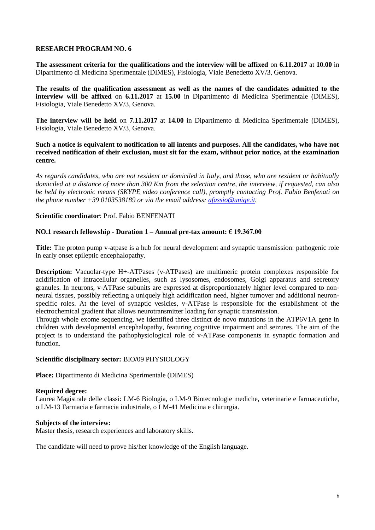**The assessment criteria for the qualifications and the interview will be affixed** on **6.11.2017** at **10.00** in Dipartimento di Medicina Sperimentale (DIMES), Fisiologia, Viale Benedetto XV/3, Genova.

**The results of the qualification assessment as well as the names of the candidates admitted to the interview will be affixed** on **6.11.2017** at **15.00** in Dipartimento di Medicina Sperimentale (DIMES), Fisiologia, Viale Benedetto XV/3, Genova.

**The interview will be held** on **7.11.2017** at **14.00** in Dipartimento di Medicina Sperimentale (DIMES), Fisiologia, Viale Benedetto XV/3, Genova.

**Such a notice is equivalent to notification to all intents and purposes. All the candidates, who have not received notification of their exclusion, must sit for the exam, without prior notice, at the examination centre.**

*As regards candidates, who are not resident or domiciled in Italy, and those, who are resident or habitually domiciled at a distance of more than 300 Km from the selection centre, the interview, if requested, can also be held by electronic means (SKYPE video conference call), promptly contacting Prof. Fabio Benfenati on the phone number +39 0103538189 or via the email address: [afassio@unige.it.](mailto:afassio@unige.it)*

### **Scientific coordinator**: Prof. Fabio BENFENATI

### **NO.1 research fellowship - Duration 1 – Annual pre-tax amount: € 19.367.00**

**Title:** The proton pump v-atpase is a hub for neural development and synaptic transmission: pathogenic role in early onset epileptic encephalopathy.

**Description:** Vacuolar-type H+-ATPases (v-ATPases) are multimeric protein complexes responsible for acidification of intracellular organelles, such as lysosomes, endosomes, Golgi apparatus and secretory granules. In neurons, v-ATPase subunits are expressed at disproportionately higher level compared to nonneural tissues, possibly reflecting a uniquely high acidification need, higher turnover and additional neuronspecific roles. At the level of synaptic vesicles, v-ATPase is responsible for the establishment of the electrochemical gradient that allows neurotransmitter loading for synaptic transmission.

Through whole exome sequencing, we identified three distinct de novo mutations in the ATP6V1A gene in children with developmental encephalopathy, featuring cognitive impairment and seizures. The aim of the project is to understand the pathophysiological role of v-ATPase components in synaptic formation and function.

### **Scientific disciplinary sector:** BIO/09 PHYSIOLOGY

**Place:** Dipartimento di Medicina Sperimentale (DIMES)

#### **Required degree:**

Laurea Magistrale delle classi: LM-6 Biologia, o LM-9 Biotecnologie mediche, veterinarie e farmaceutiche, o LM-13 Farmacia e farmacia industriale, o LM-41 Medicina e chirurgia.

#### **Subjects of the interview:**

Master thesis, research experiences and laboratory skills.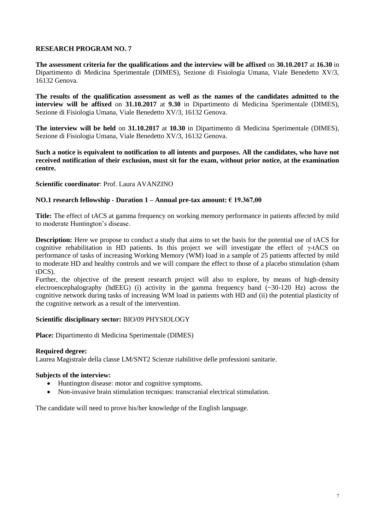**The assessment criteria for the qualifications and the interview will be affixed** on **30.10.2017** at **16.30** in Dipartimento di Medicina Sperimentale (DIMES), Sezione di Fisiologia Umana, Viale Benedetto XV/3, 16132 Genova.

**The results of the qualification assessment as well as the names of the candidates admitted to the interview will be affixed** on **31.10.2017** at **9.30** in Dipartimento di Medicina Sperimentale (DIMES), Sezione di Fisiologia Umana, Viale Benedetto XV/3, 16132 Genova.

**The interview will be held** on **31.10.2017** at **10.30** in Dipartimento di Medicina Sperimentale (DIMES), Sezione di Fisiologia Umana, Viale Benedetto XV/3, 16132 Genova.

**Such a notice is equivalent to notification to all intents and purposes. All the candidates, who have not received notification of their exclusion, must sit for the exam, without prior notice, at the examination centre.**

### **Scientific coordinator**: Prof. Laura AVANZINO

### **NO.1 research fellowship - Duration 1 – Annual pre-tax amount: € 19.367,00**

**Title:** The effect of tACS at gamma frequency on working memory performance in patients affected by mild to moderate Huntington's disease.

**Description:** Here we propose to conduct a study that aims to set the basis for the potential use of tACS for cognitive rehabilitation in HD patients. In this project we will investigate the effect of γ-tACS on performance of tasks of increasing Working Memory (WM) load in a sample of 25 patients affected by mild to moderate HD and healthy controls and we will compare the effect to those of a placebo stimulation (sham tDCS).

Further, the objective of the present research project will also to explore, by means of high-density electroencephalography (hdEEG) (i) activity in the gamma frequency band  $(\sim 30-120 \text{ Hz})$  across the cognitive network during tasks of increasing WM load in patients with HD and (ii) the potential plasticity of the cognitive network as a result of the intervention.

### **Scientific disciplinary sector:** BIO/09 PHYSIOLOGY

**Place:** Dipartimento di Medicina Sperimentale (DIMES)

#### **Required degree:**

Laurea Magistrale della classe LM/SNT2 Scienze riabilitive delle professioni sanitarie.

#### **Subjects of the interview:**

- Huntington disease: motor and cognitive symptoms.
- Non-invasive brain stimulation tecniques: transcranial electrical stimulation.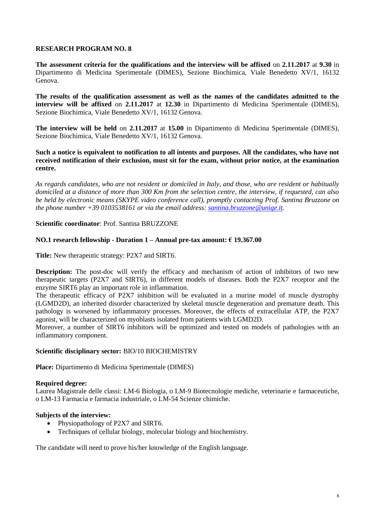**The assessment criteria for the qualifications and the interview will be affixed** on **2.11.2017** at **9.30** in Dipartimento di Medicina Sperimentale (DIMES), Sezione Biochimica, Viale Benedetto XV/1, 16132 Genova.

**The results of the qualification assessment as well as the names of the candidates admitted to the interview will be affixed** on **2.11.2017** at **12.30** in Dipartimento di Medicina Sperimentale (DIMES), Sezione Biochimica, Viale Benedetto XV/1, 16132 Genova.

**The interview will be held** on **2.11.2017** at **15.00** in Dipartimento di Medicina Sperimentale (DIMES), Sezione Biochimica, Viale Benedetto XV/1, 16132 Genova.

**Such a notice is equivalent to notification to all intents and purposes. All the candidates, who have not received notification of their exclusion, must sit for the exam, without prior notice, at the examination centre.**

*As regards candidates, who are not resident or domiciled in Italy, and those, who are resident or habitually domiciled at a distance of more than 300 Km from the selection centre, the interview, if requested, can also be held by electronic means (SKYPE video conference call), promptly contacting Prof. Santina Bruzzone on the phone number +39 0103538161 or via the email address: [santina.bruzzone@unige.it.](mailto:santina.bruzzone@unige.it)*

**Scientific coordinator**: Prof. Santina BRUZZONE

### **NO.1 research fellowship - Duration 1 – Annual pre-tax amount: € 19.367.00**

**Title:** New therapeutic strategy: P2X7 and SIRT6.

**Description:** The post-doc will verify the efficacy and mechanism of action of inhibitors of two new therapeutic targets (P2X7 and SIRT6), in different models of diseases. Both the P2X7 receptor and the enzyme SIRT6 play an important role in inflammation.

The therapeutic efficacy of P2X7 inhibition will be evaluated in a murine model of muscle dystrophy (LGMD2D), an inherited disorder characterized by skeletal muscle degeneration and premature death. This pathology is worsened by inflammatory processes. Moreover, the effects of extracellular ATP, the P2X7 agonist, will be characterized on myoblasts isolated from patients with LGMD2D.

Moreover, a number of SIRT6 inhibitors will be optimized and tested on models of pathologies with an inflammatory component.

### **Scientific disciplinary sector:** BIO/10 BIOCHEMISTRY

**Place:** Dipartimento di Medicina Sperimentale (DIMES)

#### **Required degree:**

Laurea Magistrale delle classi: LM-6 Biologia, o LM-9 Biotecnologie mediche, veterinarie e farmaceutiche, o LM-13 Farmacia e farmacia industriale, o LM-54 Scienze chimiche.

### **Subjects of the interview:**

- Physiopathology of P2X7 and SIRT6.
- Techniques of cellular biology, molecular biology and biochemistry.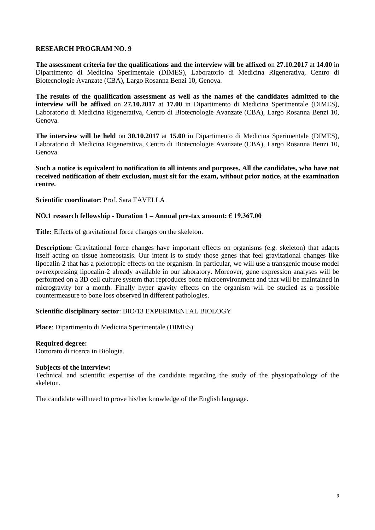**The assessment criteria for the qualifications and the interview will be affixed** on **27.10.2017** at **14.00** in Dipartimento di Medicina Sperimentale (DIMES), Laboratorio di Medicina Rigenerativa, Centro di Biotecnologie Avanzate (CBA), Largo Rosanna Benzi 10, Genova.

**The results of the qualification assessment as well as the names of the candidates admitted to the interview will be affixed** on **27.10.2017** at **17.00** in Dipartimento di Medicina Sperimentale (DIMES), Laboratorio di Medicina Rigenerativa, Centro di Biotecnologie Avanzate (CBA), Largo Rosanna Benzi 10, Genova.

**The interview will be held** on **30.10.2017** at **15.00** in Dipartimento di Medicina Sperimentale (DIMES), Laboratorio di Medicina Rigenerativa, Centro di Biotecnologie Avanzate (CBA), Largo Rosanna Benzi 10, Genova.

**Such a notice is equivalent to notification to all intents and purposes. All the candidates, who have not received notification of their exclusion, must sit for the exam, without prior notice, at the examination centre.**

**Scientific coordinator**: Prof. Sara TAVELLA

### **NO.1 research fellowship - Duration 1 – Annual pre-tax amount: € 19.367.00**

**Title:** Effects of gravitational force changes on the skeleton.

**Description:** Gravitational force changes have important effects on organisms (e.g. skeleton) that adapts itself acting on tissue homeostasis. Our intent is to study those genes that feel gravitational changes like lipocalin-2 that has a pleiotropic effects on the organism. In particular, we will use a transgenic mouse model overexpressing lipocalin-2 already available in our laboratory. Moreover, gene expression analyses will be performed on a 3D cell culture system that reproduces bone microenvironment and that will be maintained in microgravity for a month. Finally hyper gravity effects on the organism will be studied as a possible countermeasure to bone loss observed in different pathologies.

### **Scientific disciplinary sector**: BIO/13 EXPERIMENTAL BIOLOGY

**Place**: Dipartimento di Medicina Sperimentale (DIMES)

#### **Required degree:**

Dottorato di ricerca in Biologia.

#### **Subjects of the interview:**

Technical and scientific expertise of the candidate regarding the study of the physiopathology of the skeleton.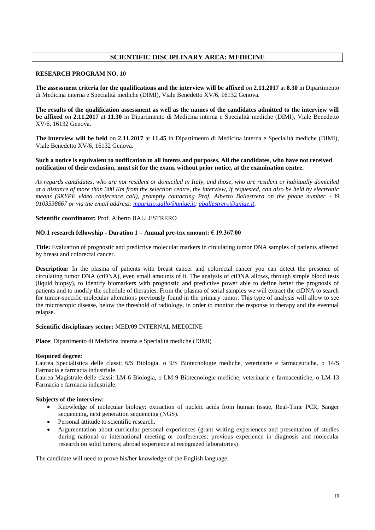## **SCIENTIFIC DISCIPLINARY AREA: MEDICINE**

#### **RESEARCH PROGRAM NO. 10**

**The assessment criteria for the qualifications and the interview will be affixed** on **2.11.2017** at **8.30** in Dipartimento di Medicina interna e Specialità mediche (DIMI), Viale Benedetto XV/6, 16132 Genova.

**The results of the qualification assessment as well as the names of the candidates admitted to the interview will be affixed** on **2.11.2017** at **11.30** in Dipartimento di Medicina interna e Specialità mediche (DIMI), Viale Benedetto XV/6, 16132 Genova.

**The interview will be held** on **2.11.2017** at **11.45** in Dipartimento di Medicina interna e Specialità mediche (DIMI), Viale Benedetto XV/6, 16132 Genova.

#### **Such a notice is equivalent to notification to all intents and purposes. All the candidates, who have not received notification of their exclusion, must sit for the exam, without prior notice, at the examination centre.**

*As regards candidates, who are not resident or domiciled in Italy, and those, who are resident or habitually domiciled at a distance of more than 300 Km from the selection centre, the interview, if requested, can also be held by electronic means (SKYPE video conference call), promptly contacting Prof. Alberto Ballestrero on the phone number +39 0103538667 or via the email address[: maurizio.gallo@unige.it;](mailto:maurizio.gallo@unige.it) [aballestrero@unige.it.](mailto:aballestrero@unige.it)* 

#### **Scientific coordinator:** Prof. Alberto BALLESTRERO

#### **NO.1 research fellowship - Duration 1 – Annual pre-tax amount: € 19.367.00**

**Title:** Evaluation of prognostic and predictive molecular markers in circulating tumor DNA samples of patients affected by breast and colorectal cancer.

**Description:** In the plasma of patients with breast cancer and colorectal cancer you can detect the presence of circulating tumor DNA (ctDNA), even small amounts of it. The analysis of ctDNA allows, through simple blood tests (liquid biopsy), to identify biomarkers with prognostic and predictive power able to define better the prognosis of patients and to modify the schedule of therapies. From the plasma of serial samples we will extract the ctDNA to search for tumor-specific molecular alterations previously found in the primary tumor. This type of analysis will allow to see the microscopic disease, below the threshold of radiology, in order to monitor the response to therapy and the eventual relapse.

#### **Scientific disciplinary sector:** MED/09 INTERNAL MEDICINE

**Place**: Dipartimento di Medicina interna e Specialità mediche (DIMI)

#### **Required degree:**

Laurea Specialistica delle classi: 6/S Biologia, o 9/S Biotecnologie mediche, veterinarie e farmaceutiche, o 14/S Farmacia e farmacia industriale.

Laurea Magistrale delle classi: LM-6 Biologia, o LM-9 Biotecnologie mediche, veterinarie e farmaceutiche, o LM-13 Farmacia e farmacia industriale.

#### **Subjects of the interview:**

- Knowledge of molecular biology: extraction of nucleic acids from human tissue, Real-Time PCR, Sanger sequencing, next generation sequencing (NGS).
- Personal attitude to scientific research.
- Argumentation about curricular personal experiences (grant writing experiences and presentation of studies during national or international meeting or conferences; previous experience in diagnosis and molecular research on solid tumors; abroad experience at recognized laboratories).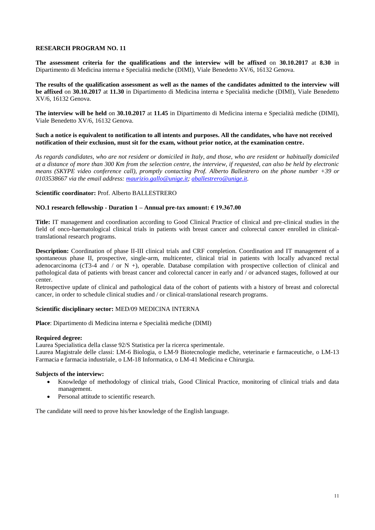**The assessment criteria for the qualifications and the interview will be affixed** on **30.10.2017** at **8.30** in Dipartimento di Medicina interna e Specialità mediche (DIMI), Viale Benedetto XV/6, 16132 Genova.

**The results of the qualification assessment as well as the names of the candidates admitted to the interview will be affixed** on **30.10.2017** at **11.30** in Dipartimento di Medicina interna e Specialità mediche (DIMI), Viale Benedetto XV/6, 16132 Genova.

**The interview will be held** on **30.10.2017** at **11.45** in Dipartimento di Medicina interna e Specialità mediche (DIMI), Viale Benedetto XV/6, 16132 Genova.

#### **Such a notice is equivalent to notification to all intents and purposes. All the candidates, who have not received notification of their exclusion, must sit for the exam, without prior notice, at the examination centre.**

*As regards candidates, who are not resident or domiciled in Italy, and those, who are resident or habitually domiciled at a distance of more than 300 Km from the selection centre, the interview, if requested, can also be held by electronic means (SKYPE video conference call), promptly contacting Prof. Alberto Ballestrero on the phone number +39 or 0103538667 via the email address: [maurizio.gallo@unige.it;](mailto:maurizio.gallo@unige.it) [aballestrero@unige.it.](mailto:aballestrero@unige.it)* 

#### **Scientific coordinator:** Prof. Alberto BALLESTRERO

#### **NO.1 research fellowship - Duration 1 – Annual pre-tax amount: € 19.367.00**

**Title:** IT management and coordination according to Good Clinical Practice of clinical and pre-clinical studies in the field of onco-haematological clinical trials in patients with breast cancer and colorectal cancer enrolled in clinicaltranslational research programs.

**Description:** Coordination of phase II-III clinical trials and CRF completion. Coordination and IT management of a spontaneous phase II, prospective, single-arm, multicenter, clinical trial in patients with locally advanced rectal adenocarcinoma (cT3-4 and / or N +), operable. Database compilation with prospective collection of clinical and pathological data of patients with breast cancer and colorectal cancer in early and / or advanced stages, followed at our center.

Retrospective update of clinical and pathological data of the cohort of patients with a history of breast and colorectal cancer, in order to schedule clinical studies and / or clinical-translational research programs.

#### **Scientific disciplinary sector:** MED/09 MEDICINA INTERNA

**Place**: Dipartimento di Medicina interna e Specialità mediche (DIMI)

#### **Required degree:**

Laurea Specialistica della classe 92/S Statistica per la ricerca sperimentale.

Laurea Magistrale delle classi: LM-6 Biologia, o LM-9 Biotecnologie mediche, veterinarie e farmaceutiche, o LM-13 Farmacia e farmacia industriale, o LM-18 Informatica, o LM-41 Medicina e Chirurgia.

#### **Subjects of the interview:**

- Knowledge of methodology of clinical trials, Good Clinical Practice, monitoring of clinical trials and data management.
- Personal attitude to scientific research.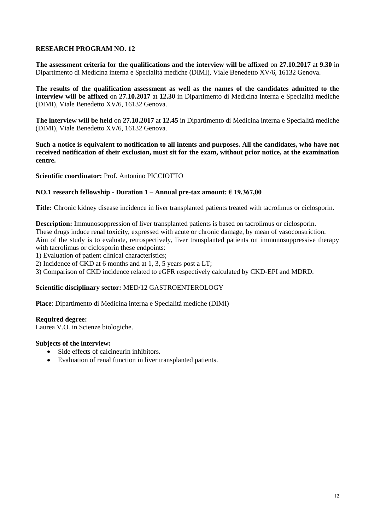**The assessment criteria for the qualifications and the interview will be affixed** on **27.10.2017** at **9.30** in Dipartimento di Medicina interna e Specialità mediche (DIMI), Viale Benedetto XV/6, 16132 Genova.

**The results of the qualification assessment as well as the names of the candidates admitted to the interview will be affixed** on **27.10.2017** at **12.30** in Dipartimento di Medicina interna e Specialità mediche (DIMI), Viale Benedetto XV/6, 16132 Genova.

**The interview will be held** on **27.10.2017** at **12.45** in Dipartimento di Medicina interna e Specialità mediche (DIMI), Viale Benedetto XV/6, 16132 Genova.

**Such a notice is equivalent to notification to all intents and purposes. All the candidates, who have not received notification of their exclusion, must sit for the exam, without prior notice, at the examination centre.**

**Scientific coordinator:** Prof. Antonino PICCIOTTO

### **NO.1 research fellowship - Duration 1 – Annual pre-tax amount: € 19.367,00**

**Title:** Chronic kidney disease incidence in liver transplanted patients treated with tacrolimus or ciclosporin.

**Description:** Immunosoppression of liver transplanted patients is based on tacrolimus or ciclosporin. These drugs induce renal toxicity, expressed with acute or chronic damage, by mean of vasoconstriction. Aim of the study is to evaluate, retrospectively, liver transplanted patients on immunosuppressive therapy with tacrolimus or ciclosporin these endpoints:

1) Evaluation of patient clinical characteristics;

2) Incidence of CKD at 6 months and at 1, 3, 5 years post a LT;

3) Comparison of CKD incidence related to eGFR respectively calculated by CKD-EPI and MDRD.

### **Scientific disciplinary sector:** MED/12 GASTROENTEROLOGY

**Place**: Dipartimento di Medicina interna e Specialità mediche (DIMI)

#### **Required degree:**

Laurea V.O. in Scienze biologiche.

### **Subjects of the interview:**

- Side effects of calcineurin inhibitors.
- Evaluation of renal function in liver transplanted patients.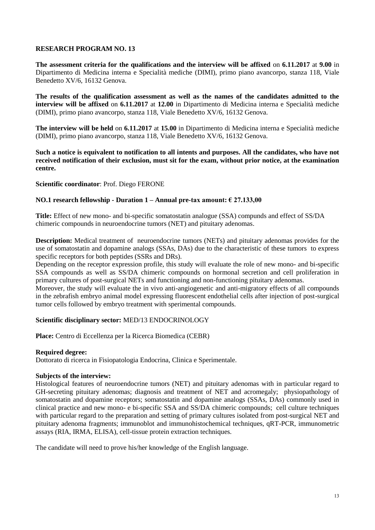**The assessment criteria for the qualifications and the interview will be affixed** on **6.11.2017** at **9.00** in Dipartimento di Medicina interna e Specialità mediche (DIMI), primo piano avancorpo, stanza 118, Viale Benedetto XV/6, 16132 Genova.

**The results of the qualification assessment as well as the names of the candidates admitted to the interview will be affixed** on **6.11.2017** at **12.00** in Dipartimento di Medicina interna e Specialità mediche (DIMI), primo piano avancorpo, stanza 118, Viale Benedetto XV/6, 16132 Genova.

**The interview will be held** on **6.11.2017** at **15.00** in Dipartimento di Medicina interna e Specialità mediche (DIMI), primo piano avancorpo, stanza 118, Viale Benedetto XV/6, 16132 Genova.

**Such a notice is equivalent to notification to all intents and purposes. All the candidates, who have not received notification of their exclusion, must sit for the exam, without prior notice, at the examination centre.**

### **Scientific coordinator**: Prof. Diego FERONE

### **NO.1 research fellowship - Duration 1 – Annual pre-tax amount: € 27.133,00**

**Title:** Effect of new mono- and bi-specific somatostatin analogue (SSA) compunds and effect of SS/DA chimeric compounds in neuroendocrine tumors (NET) and pituitary adenomas.

**Description:** Medical treatment of neuroendocrine tumors (NETs) and pituitary adenomas provides for the use of somatostatin and dopamine analogs (SSAs, DAs) due to the characteristic of these tumors to express specific receptors for both peptides (SSRs and DRs).

Depending on the receptor expression profile, this study will evaluate the role of new mono- and bi-specific SSA compounds as well as SS/DA chimeric compounds on hormonal secretion and cell proliferation in primary cultures of post-surgical NETs and functioning and non-functioning pituitary adenomas.

Moreover, the study will evaluate the in vivo anti-angiogenetic and anti-migratory effects of all compounds in the zebrafish embryo animal model expressing fluorescent endothelial cells after injection of post-surgical tumor cells followed by embryo treatment with sperimental compounds.

### **Scientific disciplinary sector:** MED/13 ENDOCRINOLOGY

**Place:** Centro di Eccellenza per la Ricerca Biomedica (CEBR)

#### **Required degree:**

Dottorato di ricerca in Fisiopatologia Endocrina, Clinica e Sperimentale.

#### **Subjects of the interview:**

Histological features of neuroendocrine tumors (NET) and pituitary adenomas with in particular regard to GH-secreting pituitary adenomas; diagnosis and treatment of NET and acromegaly; physiopathology of somatostatin and dopamine receptors; somatostatin and dopamine analogs (SSAs, DAs) commonly used in clinical practice and new mono- e bi-specific SSA and SS/DA chimeric compounds; cell culture techniques with particular regard to the preparation and setting of primary cultures isolated from post-surgical NET and pituitary adenoma fragments; immunoblot and immunohistochemical techniques, qRT-PCR, immunometric assays (RIA, IRMA, ELISA), cell-tissue protein extraction techniques.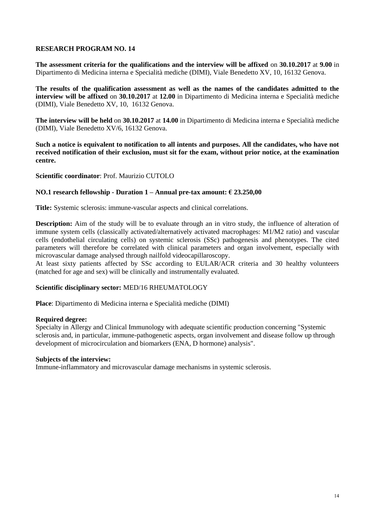**The assessment criteria for the qualifications and the interview will be affixed** on **30.10.2017** at **9.00** in Dipartimento di Medicina interna e Specialità mediche (DIMI), Viale Benedetto XV, 10, 16132 Genova.

**The results of the qualification assessment as well as the names of the candidates admitted to the interview will be affixed** on **30.10.2017** at **12.00** in Dipartimento di Medicina interna e Specialità mediche (DIMI), Viale Benedetto XV, 10, 16132 Genova.

**The interview will be held** on **30.10.2017** at **14.00** in Dipartimento di Medicina interna e Specialità mediche (DIMI), Viale Benedetto XV/6, 16132 Genova.

**Such a notice is equivalent to notification to all intents and purposes. All the candidates, who have not received notification of their exclusion, must sit for the exam, without prior notice, at the examination centre.**

**Scientific coordinator**: Prof. Maurizio CUTOLO

### **NO.1 research fellowship - Duration 1 – Annual pre-tax amount: € 23.250,00**

**Title:** Systemic sclerosis: immune-vascular aspects and clinical correlations.

**Description:** Aim of the study will be to evaluate through an in vitro study, the influence of alteration of immune system cells (classically activated/alternatively activated macrophages: M1/M2 ratio) and vascular cells (endothelial circulating cells) on systemic sclerosis (SSc) pathogenesis and phenotypes. The cited parameters will therefore be correlated with clinical parameters and organ involvement, especially with microvascular damage analysed through nailfold videocapillaroscopy.

At least sixty patients affected by SSc according to EULAR/ACR criteria and 30 healthy volunteers (matched for age and sex) will be clinically and instrumentally evaluated.

### **Scientific disciplinary sector:** MED/16 RHEUMATOLOGY

**Place**: Dipartimento di Medicina interna e Specialità mediche (DIMI)

### **Required degree:**

Specialty in Allergy and Clinical Immunology with adequate scientific production concerning "Systemic sclerosis and, in particular, immune-pathogenetic aspects, organ involvement and disease follow up through development of microcirculation and biomarkers (ENA, D hormone) analysis".

### **Subjects of the interview:**

Immune-inflammatory and microvascular damage mechanisms in systemic sclerosis.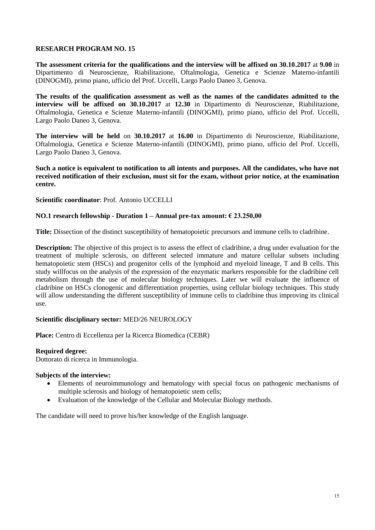**The assessment criteria for the qualifications and the interview will be affixed on 30.10.2017** at **9.00** in Dipartimento di Neuroscienze, Riabilitazione, Oftalmologia, Genetica e Scienze Materno-infantili (DINOGMI), primo piano, ufficio del Prof. Uccelli, Largo Paolo Daneo 3, Genova.

**The results of the qualification assessment as well as the names of the candidates admitted to the interview will be affixed on 30.10.2017** at **12.30** in Dipartimento di Neuroscienze, Riabilitazione, Oftalmologia, Genetica e Scienze Materno-infantili (DINOGMI), primo piano, ufficio del Prof. Uccelli, Largo Paolo Daneo 3, Genova.

**The interview will be held** on **30.10.2017** at **16.00** in Dipartimento di Neuroscienze, Riabilitazione, Oftalmologia, Genetica e Scienze Materno-infantili (DINOGMI), primo piano, ufficio del Prof. Uccelli, Largo Paolo Daneo 3, Genova.

**Such a notice is equivalent to notification to all intents and purposes. All the candidates, who have not received notification of their exclusion, must sit for the exam, without prior notice, at the examination centre.**

### **Scientific coordinator**: Prof. Antonio UCCELLI

### **NO.1 research fellowship - Duration 1 – Annual pre-tax amount: € 23.250,00**

**Title:** Dissection of the distinct susceptibility of hematopoietic precursors and immune cells to cladribine.

**Description:** The objective of this project is to assess the effect of cladribine, a drug under evaluation for the treatment of multiple sclerosis, on different selected immature and mature cellular subsets including hematopoietic stem (HSCs) and progenitor cells of the lymphoid and myeloid lineage, T and B cells. This study willfocus on the analysis of the expression of the enzymatic markers responsible for the cladribine cell metabolism through the use of molecular biology techniques. Later we will evaluate the influence of cladribine on HSCs clonogenic and differentiation properties, using cellular biology techniques. This study will allow understanding the different susceptibility of immune cells to cladribine thus improving its clinical use.

### **Scientific disciplinary sector:** MED/26 NEUROLOGY

**Place:** Centro di Eccellenza per la Ricerca Biomedica (CEBR)

#### **Required degree:**

Dottorato di ricerca in Immunologia.

## **Subjects of the interview:**

- Elements of neuroimmunology and hematology with special focus on pathogenic mechanisms of multiple sclerosis and biology of hematopoietic stem cells;
- Evaluation of the knowledge of the Cellular and Molecular Biology methods.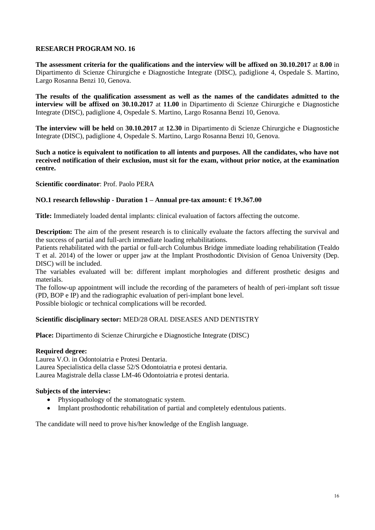**The assessment criteria for the qualifications and the interview will be affixed on 30.10.2017** at **8.00** in Dipartimento di Scienze Chirurgiche e Diagnostiche Integrate (DISC), padiglione 4, Ospedale S. Martino, Largo Rosanna Benzi 10, Genova.

**The results of the qualification assessment as well as the names of the candidates admitted to the interview will be affixed on 30.10.2017** at **11.00** in Dipartimento di Scienze Chirurgiche e Diagnostiche Integrate (DISC), padiglione 4, Ospedale S. Martino, Largo Rosanna Benzi 10, Genova.

**The interview will be held** on **30.10.2017** at **12.30** in Dipartimento di Scienze Chirurgiche e Diagnostiche Integrate (DISC), padiglione 4, Ospedale S. Martino, Largo Rosanna Benzi 10, Genova.

**Such a notice is equivalent to notification to all intents and purposes. All the candidates, who have not received notification of their exclusion, must sit for the exam, without prior notice, at the examination centre.**

**Scientific coordinator**: Prof. Paolo PERA

### **NO.1 research fellowship - Duration 1 – Annual pre-tax amount: € 19.367.00**

**Title:** Immediately loaded dental implants: clinical evaluation of factors affecting the outcome.

**Description:** The aim of the present research is to clinically evaluate the factors affecting the survival and the success of partial and full-arch immediate loading rehabilitations.

Patients rehabilitated with the partial or full-arch Columbus Bridge immediate loading rehabilitation (Tealdo T et al. 2014) of the lower or upper jaw at the Implant Prosthodontic Division of Genoa University (Dep. DISC) will be included.

The variables evaluated will be: different implant morphologies and different prosthetic designs and materials.

The follow-up appointment will include the recording of the parameters of health of peri-implant soft tissue (PD, BOP e IP) and the radiographic evaluation of peri-implant bone level.

Possible biologic or technical complications will be recorded.

### **Scientific disciplinary sector:** MED/28 ORAL DISEASES AND DENTISTRY

**Place:** Dipartimento di Scienze Chirurgiche e Diagnostiche Integrate (DISC)

#### **Required degree:**

Laurea V.O. in Odontoiatria e Protesi Dentaria. Laurea Specialistica della classe 52/S Odontoiatria e protesi dentaria. Laurea Magistrale della classe LM-46 Odontoiatria e protesi dentaria.

### **Subjects of the interview:**

- Physiopathology of the stomatognatic system.
- Implant prosthodontic rehabilitation of partial and completely edentulous patients.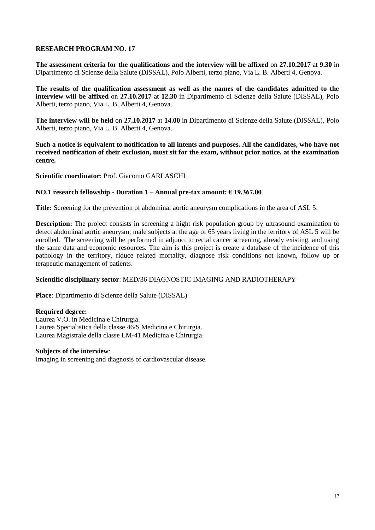**The assessment criteria for the qualifications and the interview will be affixed** on **27.10.2017** at **9.30** in Dipartimento di Scienze della Salute (DISSAL), Polo Alberti, terzo piano, Via L. B. Alberti 4, Genova.

**The results of the qualification assessment as well as the names of the candidates admitted to the interview will be affixed** on **27.10.2017** at **12.30** in Dipartimento di Scienze della Salute (DISSAL), Polo Alberti, terzo piano, Via L. B. Alberti 4, Genova.

**The interview will be held** on **27.10.2017** at **14.00** in Dipartimento di Scienze della Salute (DISSAL), Polo Alberti, terzo piano, Via L. B. Alberti 4, Genova.

**Such a notice is equivalent to notification to all intents and purposes. All the candidates, who have not received notification of their exclusion, must sit for the exam, without prior notice, at the examination centre.**

**Scientific coordinator**: Prof. Giacomo GARLASCHI

### **NO.1 research fellowship - Duration 1 – Annual pre-tax amount: € 19.367.00**

**Title:** Screening for the prevention of abdominal aortic aneurysm complications in the area of ASL 5.

**Description:** The project consists in screening a hight risk population group by ultrasound examination to detect abdominal aortic aneurysm; male subjects at the age of 65 years living in the territory of ASL 5 will be enrolled. The screening will be performed in adjunct to rectal cancer screening, already existing, and using the same data and economic resources. The aim is this project is create a database of the incidence of this pathology in the territory, riduce related mortality, diagnose risk conditions not known, follow up or terapeutic management of patients.

### **Scientific disciplinary sector**: MED/36 DIAGNOSTIC IMAGING AND RADIOTHERAPY

**Place**: Dipartimento di Scienze della Salute (DISSAL)

#### **Required degree:**

Laurea V.O. in Medicina e Chirurgia. Laurea Specialistica della classe 46/S Medicina e Chirurgia. Laurea Magistrale della classe LM-41 Medicina e Chirurgia.

### **Subjects of the interview**:

Imaging in screening and diagnosis of cardiovascular disease.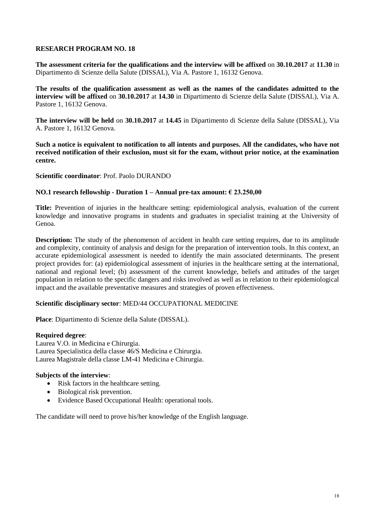**The assessment criteria for the qualifications and the interview will be affixed** on **30.10.2017** at **11.30** in Dipartimento di Scienze della Salute (DISSAL), Via A. Pastore 1, 16132 Genova.

**The results of the qualification assessment as well as the names of the candidates admitted to the interview will be affixed** on **30.10.2017** at **14.30** in Dipartimento di Scienze della Salute (DISSAL), Via A. Pastore 1, 16132 Genova.

**The interview will be held** on **30.10.2017** at **14.45** in Dipartimento di Scienze della Salute (DISSAL), Via A. Pastore 1, 16132 Genova.

**Such a notice is equivalent to notification to all intents and purposes. All the candidates, who have not received notification of their exclusion, must sit for the exam, without prior notice, at the examination centre.**

**Scientific coordinator**: Prof. Paolo DURANDO

### **NO.1 research fellowship - Duration 1 – Annual pre-tax amount: € 23.250,00**

**Title:** Prevention of injuries in the healthcare setting: epidemiological analysis, evaluation of the current knowledge and innovative programs in students and graduates in specialist training at the University of Genoa.

**Description:** The study of the phenomenon of accident in health care setting requires, due to its amplitude and complexity, continuity of analysis and design for the preparation of intervention tools. In this context, an accurate epidemiological assessment is needed to identify the main associated determinants. The present project provides for: (a) epidemiological assessment of injuries in the healthcare setting at the international, national and regional level; (b) assessment of the current knowledge, beliefs and attitudes of the target population in relation to the specific dangers and risks involved as well as in relation to their epidemiological impact and the available preventative measures and strategies of proven effectiveness.

### **Scientific disciplinary sector**: MED/44 OCCUPATIONAL MEDICINE

**Place**: Dipartimento di Scienze della Salute (DISSAL).

### **Required degree**:

Laurea V.O. in Medicina e Chirurgia. Laurea Specialistica della classe 46/S Medicina e Chirurgia. Laurea Magistrale della classe LM-41 Medicina e Chirurgia.

### **Subjects of the interview**:

- Risk factors in the healthcare setting.
- Biological risk prevention.
- Evidence Based Occupational Health: operational tools.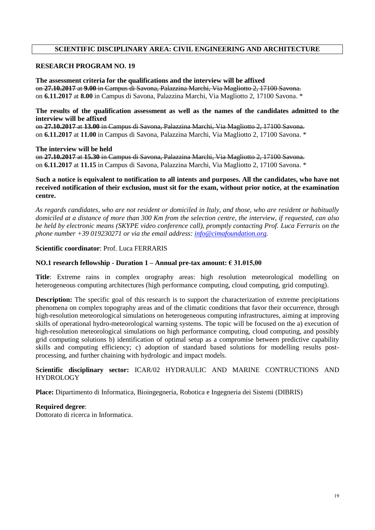# **SCIENTIFIC DISCIPLINARY AREA: CIVIL ENGINEERING AND ARCHITECTURE**

## **RESEARCH PROGRAM NO. 19**

**The assessment criteria for the qualifications and the interview will be affixed**  on **27.10.2017** at **9.00** in Campus di Savona, Palazzina Marchi, Via Magliotto 2, 17100 Savona. on **6.11.2017** at **8.00** in Campus di Savona, Palazzina Marchi, Via Magliotto 2, 17100 Savona. \*

**The results of the qualification assessment as well as the names of the candidates admitted to the interview will be affixed**  on **27.10.2017** at **13.00** in Campus di Savona, Palazzina Marchi, Via Magliotto 2, 17100 Savona.

on **6.11.2017** at **11.00** in Campus di Savona, Palazzina Marchi, Via Magliotto 2, 17100 Savona. \*

**The interview will be held**  on **27.10.2017** at **15.30** in Campus di Savona, Palazzina Marchi, Via Magliotto 2, 17100 Savona. on **6.11.2017** at **11.15** in Campus di Savona, Palazzina Marchi, Via Magliotto 2, 17100 Savona. \*

## **Such a notice is equivalent to notification to all intents and purposes. All the candidates, who have not received notification of their exclusion, must sit for the exam, without prior notice, at the examination centre.**

*As regards candidates, who are not resident or domiciled in Italy, and those, who are resident or habitually domiciled at a distance of more than 300 Km from the selection centre, the interview, if requested, can also be held by electronic means (SKYPE video conference call), promptly contacting Prof. Luca Ferraris on the phone number +39 019230271 or via the email address: [info@cimafoundation.org.](mailto:info@cimafoundation.org)*

### **Scientific coordinator**: Prof. Luca FERRARIS

### **NO.1 research fellowship - Duration 1 – Annual pre-tax amount: € 31.015,00**

**Title**: Extreme rains in complex orography areas: high resolution meteorological modelling on heterogeneous computing architectures (high performance computing, cloud computing, grid computing).

**Description:** The specific goal of this research is to support the characterization of extreme precipitations phenomena on complex topography areas and of the climatic conditions that favor their occurrence, through high-resolution meteorological simulations on heterogeneous computing infrastructures, aiming at improving skills of operational hydro-meteorological warning systems. The topic will be focused on the a) execution of high-resolution meteorological simulations on high performance computing, cloud computing, and possibly grid computing solutions b) identification of optimal setup as a compromise between predictive capability skills and computing efficiency; c) adoption of standard based solutions for modelling results postprocessing, and further chaining with hydrologic and impact models.

### **Scientific disciplinary sector:** ICAR/02 HYDRAULIC AND MARINE CONTRUCTIONS AND HYDROLOGY

**Place:** Dipartimento di Informatica, Bioingegneria, Robotica e Ingegneria dei Sistemi (DIBRIS)

### **Required degree**:

Dottorato di ricerca in Informatica.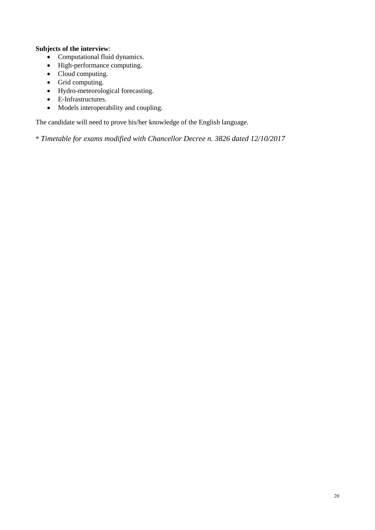# **Subjects of the interview**:

- Computational fluid dynamics.
- High-performance computing.
- Cloud computing.
- Grid computing.
- Hydro-meteorological forecasting.
- E-Infrastructures.
- Models interoperability and coupling.

The candidate will need to prove his/her knowledge of the English language.

\* *Timetable for exams modified with Chancellor Decree n. 3826 dated 12/10/2017*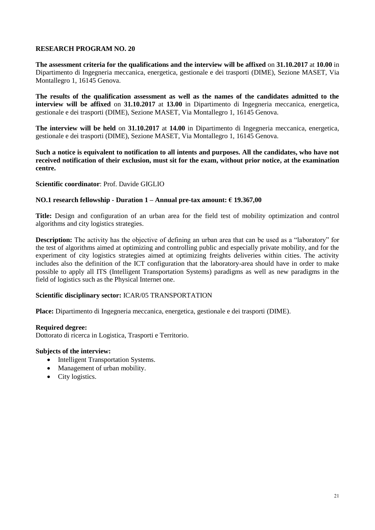**The assessment criteria for the qualifications and the interview will be affixed** on **31.10.2017** at **10.00** in Dipartimento di Ingegneria meccanica, energetica, gestionale e dei trasporti (DIME), Sezione MASET, Via Montallegro 1, 16145 Genova.

**The results of the qualification assessment as well as the names of the candidates admitted to the interview will be affixed** on **31.10.2017** at **13.00** in Dipartimento di Ingegneria meccanica, energetica, gestionale e dei trasporti (DIME), Sezione MASET, Via Montallegro 1, 16145 Genova.

**The interview will be held** on **31.10.2017** at **14.00** in Dipartimento di Ingegneria meccanica, energetica, gestionale e dei trasporti (DIME), Sezione MASET, Via Montallegro 1, 16145 Genova.

**Such a notice is equivalent to notification to all intents and purposes. All the candidates, who have not received notification of their exclusion, must sit for the exam, without prior notice, at the examination centre.**

### **Scientific coordinator**: Prof. Davide GIGLIO

### **NO.1 research fellowship - Duration 1 – Annual pre-tax amount: € 19.367,00**

**Title:** Design and configuration of an urban area for the field test of mobility optimization and control algorithms and city logistics strategies.

**Description:** The activity has the objective of defining an urban area that can be used as a "laboratory" for the test of algorithms aimed at optimizing and controlling public and especially private mobility, and for the experiment of city logistics strategies aimed at optimizing freights deliveries within cities. The activity includes also the definition of the ICT configuration that the laboratory-area should have in order to make possible to apply all ITS (Intelligent Transportation Systems) paradigms as well as new paradigms in the field of logistics such as the Physical Internet one.

### **Scientific disciplinary sector:** ICAR/05 TRANSPORTATION

**Place:** Dipartimento di Ingegneria meccanica, energetica, gestionale e dei trasporti (DIME).

#### **Required degree:**

Dottorato di ricerca in Logistica, Trasporti e Territorio.

#### **Subjects of the interview:**

- Intelligent Transportation Systems.
- Management of urban mobility.
- City logistics.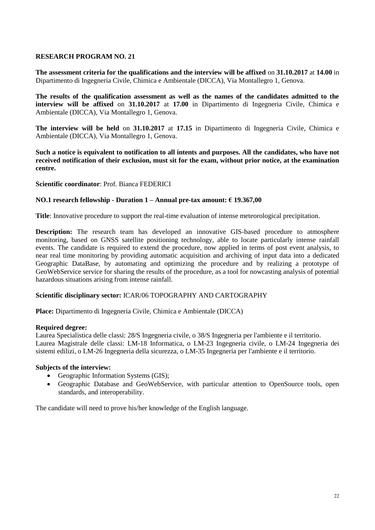**The assessment criteria for the qualifications and the interview will be affixed** on **31.10.2017** at **14.00** in Dipartimento di Ingegneria Civile, Chimica e Ambientale (DICCA), Via Montallegro 1, Genova.

**The results of the qualification assessment as well as the names of the candidates admitted to the interview will be affixed** on **31.10.2017** at **17.00** in Dipartimento di Ingegneria Civile, Chimica e Ambientale (DICCA), Via Montallegro 1, Genova.

**The interview will be held** on **31.10.2017** at **17.15** in Dipartimento di Ingegneria Civile, Chimica e Ambientale (DICCA), Via Montallegro 1, Genova.

**Such a notice is equivalent to notification to all intents and purposes. All the candidates, who have not received notification of their exclusion, must sit for the exam, without prior notice, at the examination centre.**

### **Scientific coordinator**: Prof. Bianca FEDERICI

### **NO.1 research fellowship - Duration 1 – Annual pre-tax amount: € 19.367,00**

**Title**: Innovative procedure to support the real-time evaluation of intense meteorological precipitation.

**Description:** The research team has developed an innovative GIS-based procedure to atmosphere monitoring, based on GNSS satellite positioning technology, able to locate particularly intense rainfall events. The candidate is required to extend the procedure, now applied in terms of post event analysis, to near real time monitoring by providing automatic acquisition and archiving of input data into a dedicated Geographic DataBase, by automating and optimizing the procedure and by realizing a prototype of GeoWebService service for sharing the results of the procedure, as a tool for nowcasting analysis of potential hazardous situations arising from intense rainfall.

### **Scientific disciplinary sector:** ICAR/06 TOPOGRAPHY AND CARTOGRAPHY

**Place:** Dipartimento di Ingegneria Civile, Chimica e Ambientale (DICCA)

#### **Required degree:**

Laurea Specialistica delle classi: 28/S Ingegneria civile, o 38/S Ingegneria per l'ambiente e il territorio. Laurea Magistrale delle classi: LM-18 Informatica, o LM-23 Ingegneria civile, o LM-24 Ingegneria dei sistemi edilizi, o LM-26 Ingegneria della sicurezza, o LM-35 Ingegneria per l'ambiente e il territorio.

#### **Subjects of the interview:**

- Geographic Information Systems (GIS);
- Geographic Database and GeoWebService, with particular attention to OpenSource tools, open standards, and interoperability.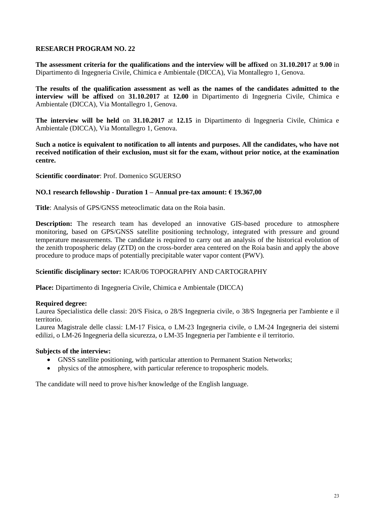**The assessment criteria for the qualifications and the interview will be affixed** on **31.10.2017** at **9.00** in Dipartimento di Ingegneria Civile, Chimica e Ambientale (DICCA), Via Montallegro 1, Genova.

**The results of the qualification assessment as well as the names of the candidates admitted to the interview will be affixed** on **31.10.2017** at **12.00** in Dipartimento di Ingegneria Civile, Chimica e Ambientale (DICCA), Via Montallegro 1, Genova.

**The interview will be held** on **31.10.2017** at **12.15** in Dipartimento di Ingegneria Civile, Chimica e Ambientale (DICCA), Via Montallegro 1, Genova.

**Such a notice is equivalent to notification to all intents and purposes. All the candidates, who have not received notification of their exclusion, must sit for the exam, without prior notice, at the examination centre.**

**Scientific coordinator**: Prof. Domenico SGUERSO

### **NO.1 research fellowship - Duration 1 – Annual pre-tax amount: € 19.367,00**

**Title**: Analysis of GPS/GNSS meteoclimatic data on the Roia basin.

**Description:** The research team has developed an innovative GIS-based procedure to atmosphere monitoring, based on GPS/GNSS satellite positioning technology, integrated with pressure and ground temperature measurements. The candidate is required to carry out an analysis of the historical evolution of the zenith tropospheric delay (ZTD) on the cross-border area centered on the Roia basin and apply the above procedure to produce maps of potentially precipitable water vapor content (PWV).

### **Scientific disciplinary sector:** ICAR/06 TOPOGRAPHY AND CARTOGRAPHY

**Place:** Dipartimento di Ingegneria Civile, Chimica e Ambientale (DICCA)

### **Required degree:**

Laurea Specialistica delle classi: 20/S Fisica, o 28/S Ingegneria civile, o 38/S Ingegneria per l'ambiente e il territorio.

Laurea Magistrale delle classi: LM-17 Fisica, o LM-23 Ingegneria civile, o LM-24 Ingegneria dei sistemi edilizi, o LM-26 Ingegneria della sicurezza, o LM-35 Ingegneria per l'ambiente e il territorio.

### **Subjects of the interview:**

- GNSS satellite positioning, with particular attention to Permanent Station Networks;
- physics of the atmosphere, with particular reference to tropospheric models.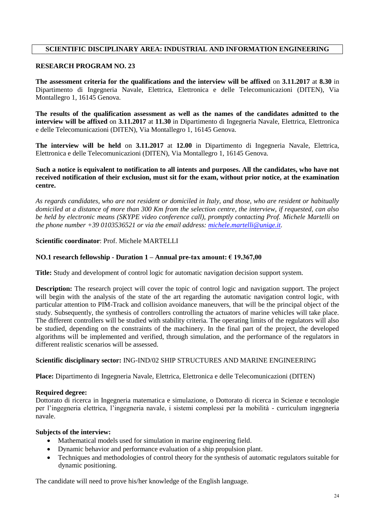# **SCIENTIFIC DISCIPLINARY AREA: INDUSTRIAL AND INFORMATION ENGINEERING**

## **RESEARCH PROGRAM NO. 23**

**The assessment criteria for the qualifications and the interview will be affixed** on **3.11.2017** at **8.30** in Dipartimento di Ingegneria Navale, Elettrica, Elettronica e delle Telecomunicazioni (DITEN), Via Montallegro 1, 16145 Genova.

**The results of the qualification assessment as well as the names of the candidates admitted to the interview will be affixed** on **3.11.2017** at **11.30** in Dipartimento di Ingegneria Navale, Elettrica, Elettronica e delle Telecomunicazioni (DITEN), Via Montallegro 1, 16145 Genova.

**The interview will be held** on **3.11.2017** at **12.00** in Dipartimento di Ingegneria Navale, Elettrica, Elettronica e delle Telecomunicazioni (DITEN), Via Montallegro 1, 16145 Genova.

## **Such a notice is equivalent to notification to all intents and purposes. All the candidates, who have not received notification of their exclusion, must sit for the exam, without prior notice, at the examination centre.**

*As regards candidates, who are not resident or domiciled in Italy, and those, who are resident or habitually domiciled at a distance of more than 300 Km from the selection centre, the interview, if requested, can also be held by electronic means (SKYPE video conference call), promptly contacting Prof. Michele Martelli on the phone number +39 0103536521 or via the email address: [michele.martelli@unige.it.](mailto:michele.martelli@unige.it)*

### **Scientific coordinator**: Prof. Michele MARTELLI

### **NO.1 research fellowship - Duration 1 – Annual pre-tax amount: € 19.367,00**

**Title:** Study and development of control logic for automatic navigation decision support system.

**Description:** The research project will cover the topic of control logic and navigation support. The project will begin with the analysis of the state of the art regarding the automatic navigation control logic, with particular attention to PIM-Track and collision avoidance maneuvers, that will be the principal object of the study. Subsequently, the synthesis of controllers controlling the actuators of marine vehicles will take place. The different controllers will be studied with stability criteria. The operating limits of the regulators will also be studied, depending on the constraints of the machinery. In the final part of the project, the developed algorithms will be implemented and verified, through simulation, and the performance of the regulators in different realistic scenarios will be assessed.

### **Scientific disciplinary sector:** ING-IND/02 SHIP STRUCTURES AND MARINE ENGINEERING

**Place:** Dipartimento di Ingegneria Navale, Elettrica, Elettronica e delle Telecomunicazioni (DITEN)

### **Required degree:**

Dottorato di ricerca in Ingegneria matematica e simulazione, o Dottorato di ricerca in Scienze e tecnologie per l'ingegneria elettrica, l'ingegneria navale, i sistemi complessi per la mobilità - curriculum ingegneria navale.

### **Subjects of the interview:**

- Mathematical models used for simulation in marine engineering field.
- Dynamic behavior and performance evaluation of a ship propulsion plant.
- Techniques and methodologies of control theory for the synthesis of automatic regulators suitable for dynamic positioning.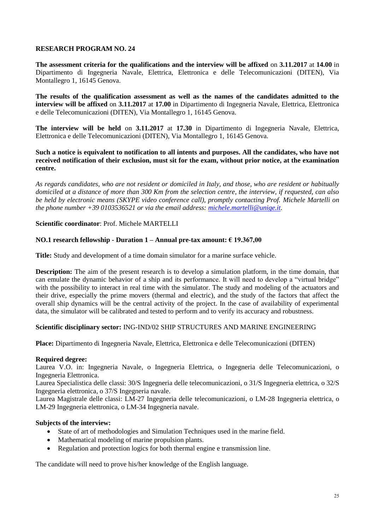**The assessment criteria for the qualifications and the interview will be affixed** on **3.11.2017** at **14.00** in Dipartimento di Ingegneria Navale, Elettrica, Elettronica e delle Telecomunicazioni (DITEN), Via Montallegro 1, 16145 Genova.

**The results of the qualification assessment as well as the names of the candidates admitted to the interview will be affixed** on **3.11.2017** at **17.00** in Dipartimento di Ingegneria Navale, Elettrica, Elettronica e delle Telecomunicazioni (DITEN), Via Montallegro 1, 16145 Genova.

**The interview will be held** on **3.11.2017** at **17.30** in Dipartimento di Ingegneria Navale, Elettrica, Elettronica e delle Telecomunicazioni (DITEN), Via Montallegro 1, 16145 Genova.

**Such a notice is equivalent to notification to all intents and purposes. All the candidates, who have not received notification of their exclusion, must sit for the exam, without prior notice, at the examination centre.**

*As regards candidates, who are not resident or domiciled in Italy, and those, who are resident or habitually domiciled at a distance of more than 300 Km from the selection centre, the interview, if requested, can also be held by electronic means (SKYPE video conference call), promptly contacting Prof. Michele Martelli on the phone number +39 0103536521 or via the email address: [michele.martelli@unige.it.](mailto:michele.martelli@unige.it)*

**Scientific coordinator**: Prof. Michele MARTELLI

### **NO.1 research fellowship - Duration 1 – Annual pre-tax amount: € 19.367,00**

**Title:** Study and development of a time domain simulator for a marine surface vehicle.

**Description:** The aim of the present research is to develop a simulation platform, in the time domain, that can emulate the dynamic behavior of a ship and its performance. It will need to develop a "virtual bridge" with the possibility to interact in real time with the simulator. The study and modeling of the actuators and their drive, especially the prime movers (thermal and electric), and the study of the factors that affect the overall ship dynamics will be the central activity of the project. In the case of availability of experimental data, the simulator will be calibrated and tested to perform and to verify its accuracy and robustness.

### **Scientific disciplinary sector:** ING-IND/02 SHIP STRUCTURES AND MARINE ENGINEERING

**Place:** Dipartimento di Ingegneria Navale, Elettrica, Elettronica e delle Telecomunicazioni (DITEN)

### **Required degree:**

Laurea V.O. in: Ingegneria Navale, o Ingegneria Elettrica, o Ingegneria delle Telecomunicazioni, o Ingegneria Elettronica.

Laurea Specialistica delle classi: 30/S Ingegneria delle telecomunicazioni, o 31/S Ingegneria elettrica, o 32/S Ingegneria elettronica, o 37/S Ingegneria navale.

Laurea Magistrale delle classi: LM-27 Ingegneria delle telecomunicazioni, o LM-28 Ingegneria elettrica, o LM-29 Ingegneria elettronica, o LM-34 Ingegneria navale.

### **Subjects of the interview:**

- State of art of methodologies and Simulation Techniques used in the marine field.
- Mathematical modeling of marine propulsion plants.
- Regulation and protection logics for both thermal engine e transmission line.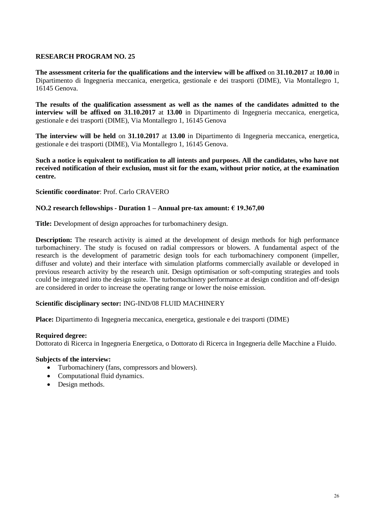**The assessment criteria for the qualifications and the interview will be affixed** on **31.10.2017** at **10.00** in Dipartimento di Ingegneria meccanica, energetica, gestionale e dei trasporti (DIME), Via Montallegro 1, 16145 Genova.

**The results of the qualification assessment as well as the names of the candidates admitted to the interview will be affixed on 31.10.2017** at **13.00** in Dipartimento di Ingegneria meccanica, energetica, gestionale e dei trasporti (DIME), Via Montallegro 1, 16145 Genova

**The interview will be held** on **31.10.2017** at **13.00** in Dipartimento di Ingegneria meccanica, energetica, gestionale e dei trasporti (DIME), Via Montallegro 1, 16145 Genova.

**Such a notice is equivalent to notification to all intents and purposes. All the candidates, who have not received notification of their exclusion, must sit for the exam, without prior notice, at the examination centre.**

### **Scientific coordinator**: Prof. Carlo CRAVERO

### **NO.2 research fellowships - Duration 1 – Annual pre-tax amount: € 19.367,00**

**Title:** Development of design approaches for turbomachinery design.

**Description:** The research activity is aimed at the development of design methods for high performance turbomachinery. The study is focused on radial compressors or blowers. A fundamental aspect of the research is the development of parametric design tools for each turbomachinery component (impeller, diffuser and volute) and their interface with simulation platforms commercially available or developed in previous research activity by the research unit. Design optimisation or soft-computing strategies and tools could be integrated into the design suite. The turbomachinery performance at design condition and off-design are considered in order to increase the operating range or lower the noise emission.

### **Scientific disciplinary sector:** ING-IND/08 FLUID MACHINERY

**Place:** Dipartimento di Ingegneria meccanica, energetica, gestionale e dei trasporti (DIME)

#### **Required degree:**

Dottorato di Ricerca in Ingegneria Energetica, o Dottorato di Ricerca in Ingegneria delle Macchine a Fluido.

### **Subjects of the interview:**

- Turbomachinery (fans, compressors and blowers).
- Computational fluid dynamics.
- Design methods.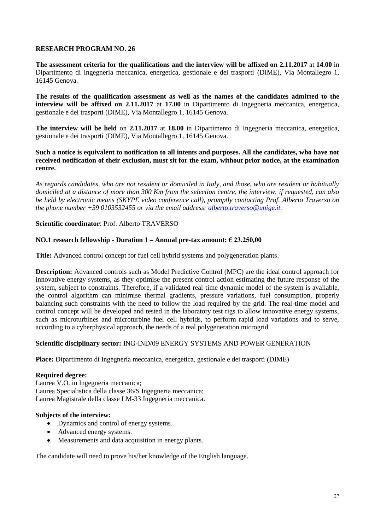**The assessment criteria for the qualifications and the interview will be affixed on 2.11.2017** at **14.00** in Dipartimento di Ingegneria meccanica, energetica, gestionale e dei trasporti (DIME), Via Montallegro 1, 16145 Genova.

**The results of the qualification assessment as well as the names of the candidates admitted to the interview will be affixed on 2.11.2017** at **17.00** in Dipartimento di Ingegneria meccanica, energetica, gestionale e dei trasporti (DIME), Via Montallegro 1, 16145 Genova.

**The interview will be held** on **2.11.2017** at **18.00** in Dipartimento di Ingegneria meccanica, energetica, gestionale e dei trasporti (DIME), Via Montallegro 1, 16145 Genova.

### **Such a notice is equivalent to notification to all intents and purposes. All the candidates, who have not received notification of their exclusion, must sit for the exam, without prior notice, at the examination centre.**

*As regards candidates, who are not resident or domiciled in Italy, and those, who are resident or habitually domiciled at a distance of more than 300 Km from the selection centre, the interview, if requested, can also be held by electronic means (SKYPE video conference call), promptly contacting Prof. Alberto Traverso on the phone number +39 0103532455 or via the email address: [alberto.traverso@unige.it.](mailto:alberto.traverso@unige.it)*

### **Scientific coordinator**: Prof. Alberto TRAVERSO

## **NO.1 research fellowship - Duration 1 – Annual pre-tax amount: € 23.250,00**

**Title:** Advanced control concept for fuel cell hybrid systems and polygeneration plants.

**Description:** Advanced controls such as Model Predictive Control (MPC) are the ideal control approach for innovative energy systems, as they optimise the present control action estimating the future response of the system, subject to constraints. Therefore, if a validated real-time dynamic model of the system is available, the control algorithm can minimise thermal gradients, pressure variations, fuel consumption, properly balancing such constraints with the need to follow the load required by the grid. The real-time model and control concept will be developed and tested in the laboratory test rigs to allow innovative energy systems, such as microturbines and microturbine fuel cell hybrids, to perform rapid load variations and to serve, according to a cyberphysical approach, the needs of a real polygeneration microgrid.

### **Scientific disciplinary sector:** ING-IND/09 ENERGY SYSTEMS AND POWER GENERATION

**Place:** Dipartimento di Ingegneria meccanica, energetica, gestionale e dei trasporti (DIME)

## **Required degree:**

Laurea V.O. in Ingegneria meccanica; Laurea Specialistica della classe 36/S Ingegneria meccanica; Laurea Magistrale della classe LM-33 Ingegneria meccanica.

### **Subjects of the interview:**

- Dynamics and control of energy systems.
- Advanced energy systems.
- Measurements and data acquisition in energy plants.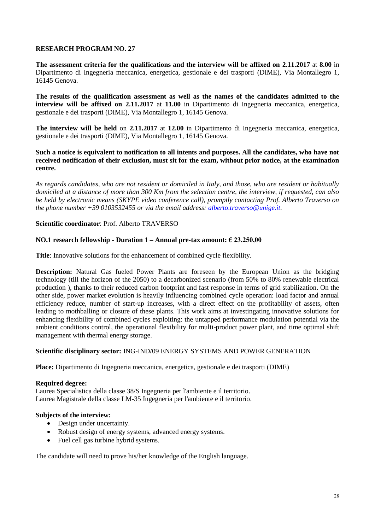**The assessment criteria for the qualifications and the interview will be affixed on 2.11.2017** at **8.00** in Dipartimento di Ingegneria meccanica, energetica, gestionale e dei trasporti (DIME), Via Montallegro 1, 16145 Genova.

**The results of the qualification assessment as well as the names of the candidates admitted to the interview will be affixed on 2.11.2017** at **11.00** in Dipartimento di Ingegneria meccanica, energetica, gestionale e dei trasporti (DIME), Via Montallegro 1, 16145 Genova.

**The interview will be held** on **2.11.2017** at **12.00** in Dipartimento di Ingegneria meccanica, energetica, gestionale e dei trasporti (DIME), Via Montallegro 1, 16145 Genova.

### **Such a notice is equivalent to notification to all intents and purposes. All the candidates, who have not received notification of their exclusion, must sit for the exam, without prior notice, at the examination centre.**

*As regards candidates, who are not resident or domiciled in Italy, and those, who are resident or habitually domiciled at a distance of more than 300 Km from the selection centre, the interview, if requested, can also be held by electronic means (SKYPE video conference call), promptly contacting Prof. Alberto Traverso on the phone number +39 0103532455 or via the email address: [alberto.traverso@unige.it.](mailto:alberto.traverso@unige.it)*

## **Scientific coordinator**: Prof. Alberto TRAVERSO

## **NO.1 research fellowship - Duration 1 – Annual pre-tax amount: € 23.250,00**

**Title**: Innovative solutions for the enhancement of combined cycle flexibility.

**Description:** Natural Gas fueled Power Plants are foreseen by the European Union as the bridging technology (till the horizon of the 2050) to a decarbonized scenario (from 50% to 80% renewable electrical production ), thanks to their reduced carbon footprint and fast response in terms of grid stabilization. On the other side, power market evolution is heavily influencing combined cycle operation: load factor and annual efficiency reduce, number of start-up increases, with a direct effect on the profitability of assets, often leading to mothballing or closure of these plants. This work aims at investingating innovative solutions for enhancing flexibility of combined cycles exploiting: the untapped performance modulation potential via the ambient conditions control, the operational flexibility for multi-product power plant, and time optimal shift management with thermal energy storage.

### **Scientific disciplinary sector:** ING-IND/09 ENERGY SYSTEMS AND POWER GENERATION

**Place:** Dipartimento di Ingegneria meccanica, energetica, gestionale e dei trasporti (DIME)

### **Required degree:**

Laurea Specialistica della classe 38/S Ingegneria per l'ambiente e il territorio. Laurea Magistrale della classe LM-35 Ingegneria per l'ambiente e il territorio.

### **Subjects of the interview:**

- Design under uncertainty.
- Robust design of energy systems, advanced energy systems.
- Fuel cell gas turbine hybrid systems.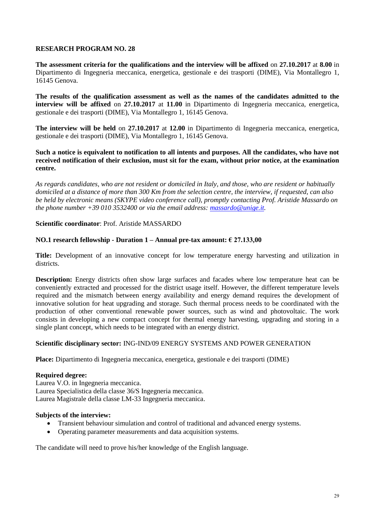**The assessment criteria for the qualifications and the interview will be affixed** on **27.10.2017** at **8.00** in Dipartimento di Ingegneria meccanica, energetica, gestionale e dei trasporti (DIME), Via Montallegro 1, 16145 Genova.

**The results of the qualification assessment as well as the names of the candidates admitted to the interview will be affixed** on **27.10.2017** at **11.00** in Dipartimento di Ingegneria meccanica, energetica, gestionale e dei trasporti (DIME), Via Montallegro 1, 16145 Genova.

**The interview will be held** on **27.10.2017** at **12.00** in Dipartimento di Ingegneria meccanica, energetica, gestionale e dei trasporti (DIME), Via Montallegro 1, 16145 Genova.

### **Such a notice is equivalent to notification to all intents and purposes. All the candidates, who have not received notification of their exclusion, must sit for the exam, without prior notice, at the examination centre.**

*As regards candidates, who are not resident or domiciled in Italy, and those, who are resident or habitually domiciled at a distance of more than 300 Km from the selection centre, the interview, if requested, can also be held by electronic means (SKYPE video conference call), promptly contacting Prof. Aristide Massardo on the phone number +39 010 3532400 or via the email address: [massardo@unige.it.](mailto:massardo@unige.it)*

### **Scientific coordinator**: Prof. Aristide MASSARDO

## **NO.1 research fellowship - Duration 1 – Annual pre-tax amount: € 27.133,00**

**Title:** Development of an innovative concept for low temperature energy harvesting and utilization in districts.

**Description:** Energy districts often show large surfaces and facades where low temperature heat can be conveniently extracted and processed for the district usage itself. However, the different temperature levels required and the mismatch between energy availability and energy demand requires the development of innovative solution for heat upgrading and storage. Such thermal process needs to be coordinated with the production of other conventional renewable power sources, such as wind and photovoltaic. The work consists in developing a new compact concept for thermal energy harvesting, upgrading and storing in a single plant concept, which needs to be integrated with an energy district.

### **Scientific disciplinary sector:** ING-IND/09 ENERGY SYSTEMS AND POWER GENERATION

**Place:** Dipartimento di Ingegneria meccanica, energetica, gestionale e dei trasporti (DIME)

### **Required degree:**

Laurea V.O. in Ingegneria meccanica. Laurea Specialistica della classe 36/S Ingegneria meccanica. Laurea Magistrale della classe LM-33 Ingegneria meccanica.

### **Subjects of the interview:**

- Transient behaviour simulation and control of traditional and advanced energy systems.
- Operating parameter measurements and data acquisition systems.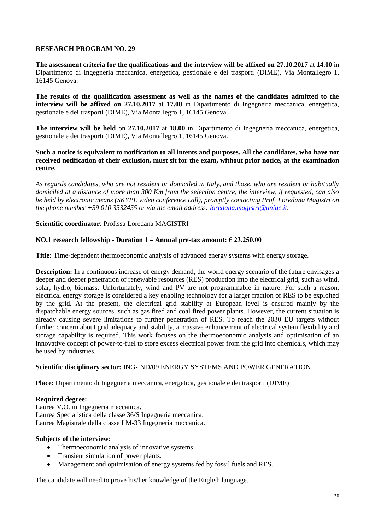**The assessment criteria for the qualifications and the interview will be affixed on 27.10.2017** at **14.00** in Dipartimento di Ingegneria meccanica, energetica, gestionale e dei trasporti (DIME), Via Montallegro 1, 16145 Genova.

**The results of the qualification assessment as well as the names of the candidates admitted to the interview will be affixed on 27.10.2017** at **17.00** in Dipartimento di Ingegneria meccanica, energetica, gestionale e dei trasporti (DIME), Via Montallegro 1, 16145 Genova.

**The interview will be held** on **27.10.2017** at **18.00** in Dipartimento di Ingegneria meccanica, energetica, gestionale e dei trasporti (DIME), Via Montallegro 1, 16145 Genova.

### **Such a notice is equivalent to notification to all intents and purposes. All the candidates, who have not received notification of their exclusion, must sit for the exam, without prior notice, at the examination centre.**

*As regards candidates, who are not resident or domiciled in Italy, and those, who are resident or habitually domiciled at a distance of more than 300 Km from the selection centre, the interview, if requested, can also be held by electronic means (SKYPE video conference call), promptly contacting Prof. Loredana Magistri on the phone number +39 010 3532455 or via the email address: [loredana.magistri@unige.it.](mailto:loredana.magistri@unige.it)* 

### **Scientific coordinator**: Prof.ssa Loredana MAGISTRI

### **NO.1 research fellowship - Duration 1 – Annual pre-tax amount: € 23.250,00**

**Title:** Time-dependent thermoeconomic analysis of advanced energy systems with energy storage.

**Description:** In a continuous increase of energy demand, the world energy scenario of the future envisages a deeper and deeper penetration of renewable resources (RES) production into the electrical grid, such as wind, solar, hydro, biomass. Unfortunately, wind and PV are not programmable in nature. For such a reason, electrical energy storage is considered a key enabling technology for a larger fraction of RES to be exploited by the grid. At the present, the electrical grid stability at European level is ensured mainly by the dispatchable energy sources, such as gas fired and coal fired power plants. However, the current situation is already causing severe limitations to further penetration of RES. To reach the 2030 EU targets without further concern about grid adequacy and stability, a massive enhancement of electrical system flexibility and storage capability is required. This work focuses on the thermoeconomic analysis and optimisation of an innovative concept of power-to-fuel to store excess electrical power from the grid into chemicals, which may be used by industries.

### **Scientific disciplinary sector:** ING-IND/09 ENERGY SYSTEMS AND POWER GENERATION

**Place:** Dipartimento di Ingegneria meccanica, energetica, gestionale e dei trasporti (DIME)

### **Required degree:**

Laurea V.O. in Ingegneria meccanica. Laurea Specialistica della classe 36/S Ingegneria meccanica. Laurea Magistrale della classe LM-33 Ingegneria meccanica.

### **Subjects of the interview:**

- Thermoeconomic analysis of innovative systems.
- Transient simulation of power plants.
- Management and optimisation of energy systems fed by fossil fuels and RES.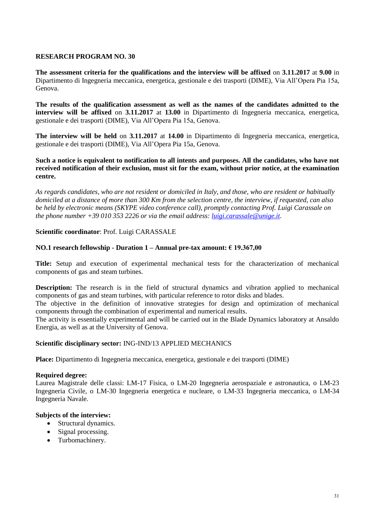**The assessment criteria for the qualifications and the interview will be affixed** on **3.11.2017** at **9.00** in Dipartimento di Ingegneria meccanica, energetica, gestionale e dei trasporti (DIME), Via All'Opera Pia 15a, Genova.

**The results of the qualification assessment as well as the names of the candidates admitted to the interview will be affixed** on **3.11.2017** at **13.00** in Dipartimento di Ingegneria meccanica, energetica, gestionale e dei trasporti (DIME), Via All'Opera Pia 15a, Genova.

**The interview will be held** on **3.11.2017** at **14.00** in Dipartimento di Ingegneria meccanica, energetica, gestionale e dei trasporti (DIME), Via All'Opera Pia 15a, Genova.

## **Such a notice is equivalent to notification to all intents and purposes. All the candidates, who have not received notification of their exclusion, must sit for the exam, without prior notice, at the examination centre.**

*As regards candidates, who are not resident or domiciled in Italy, and those, who are resident or habitually domiciled at a distance of more than 300 Km from the selection centre, the interview, if requested, can also be held by electronic means (SKYPE video conference call), promptly contacting Prof. Luigi Carassale on the phone number +39 010 353 2226 or via the email address: [luigi.carassale@unige.it.](mailto:luigi.carassale@unige.it)*

## **Scientific coordinator**: Prof. Luigi CARASSALE

## **NO.1 research fellowship - Duration 1 – Annual pre-tax amount: € 19.367,00**

**Title:** Setup and execution of experimental mechanical tests for the characterization of mechanical components of gas and steam turbines.

**Description:** The research is in the field of structural dynamics and vibration applied to mechanical components of gas and steam turbines, with particular reference to rotor disks and blades.

The objective in the definition of innovative strategies for design and optimization of mechanical components through the combination of experimental and numerical results.

The activity is essentially experimental and will be carried out in the Blade Dynamics laboratory at Ansaldo Energia, as well as at the University of Genova.

### **Scientific disciplinary sector:** ING-IND/13 APPLIED MECHANICS

**Place:** Dipartimento di Ingegneria meccanica, energetica, gestionale e dei trasporti (DIME)

### **Required degree:**

Laurea Magistrale delle classi: LM-17 Fisica, o LM-20 Ingegneria aerospaziale e astronautica, o LM-23 Ingegneria Civile, o LM-30 Ingegneria energetica e nucleare, o LM-33 Ingegneria meccanica, o LM-34 Ingegneria Navale.

### **Subjects of the interview:**

- Structural dynamics.
- Signal processing.
- Turbomachinery.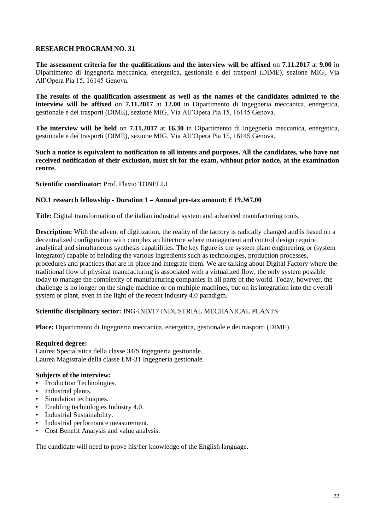**The assessment criteria for the qualifications and the interview will be affixed** on **7.11.2017** at **9.00** in Dipartimento di Ingegneria meccanica, energetica, gestionale e dei trasporti (DIME), sezione MIG, Via All'Opera Pia 15, 16145 Genova.

**The results of the qualification assessment as well as the names of the candidates admitted to the interview will be affixed** on **7.11.2017** at **12.00** in Dipartimento di Ingegneria meccanica, energetica, gestionale e dei trasporti (DIME), sezione MIG, Via All'Opera Pia 15, 16145 Genova.

**The interview will be held** on **7.11.2017** at **16.30** in Dipartimento di Ingegneria meccanica, energetica, gestionale e dei trasporti (DIME), sezione MIG, Via All'Opera Pia 15, 16145 Genova.

**Such a notice is equivalent to notification to all intents and purposes. All the candidates, who have not received notification of their exclusion, must sit for the exam, without prior notice, at the examination centre.**

### **Scientific coordinator**: Prof. Flavio TONELLI

### **NO.1 research fellowship - Duration 1 – Annual pre-tax amount: € 19.367,00**

**Title:** Digital transformation of the italian industrial system and advanced manufacturing tools.

**Description:** With the advent of digitization, the reality of the factory is radically changed and is based on a decentralized configuration with complex architecture where management and control design require analytical and simultaneous synthesis capabilities. The key figure is the system plant engineering or (system integrator) capable of belnding the various ingredients such as technologies, production processes, procedures and practices that are in place and integrate them. We are talking about Digital Factory where the traditional flow of physical manufacturing is associated with a virtualized flow, the only system possible today to manage the complexity of manufacturing companies in all parts of the world. Today, however, the challenge is no longer on the single machine or on multiple machines, but on its integration into the overall system or plant, even in the light of the recent Industry 4.0 paradigm.

### **Scientific disciplinary sector:** ING-IND/17 INDUSTRIAL MECHANICAL PLANTS

**Place:** Dipartimento di Ingegneria meccanica, energetica, gestionale e dei trasporti (DIME)

#### **Required degree:**

Laurea Specialistica della classe 34/S Ingegneria gestionale. Laurea Magistrale della classe LM-31 Ingegneria gestionale.

### **Subjects of the interview:**

- Production Technologies.
- Industrial plants.
- Simulation techniques.
- Enabling technologies Industry 4.0.
- Industrial Sustainability.
- Industrial performance measurement.
- Cost Benefit Analysis and value analysis.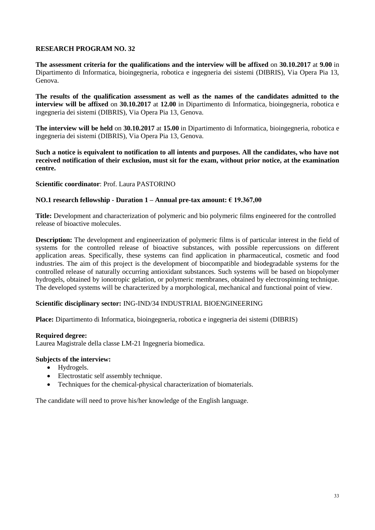**The assessment criteria for the qualifications and the interview will be affixed** on **30.10.2017** at **9.00** in Dipartimento di Informatica, bioingegneria, robotica e ingegneria dei sistemi (DIBRIS), Via Opera Pia 13, Genova.

**The results of the qualification assessment as well as the names of the candidates admitted to the interview will be affixed** on **30.10.2017** at **12.00** in Dipartimento di Informatica, bioingegneria, robotica e ingegneria dei sistemi (DIBRIS), Via Opera Pia 13, Genova.

**The interview will be held** on **30.10.2017** at **15.00** in Dipartimento di Informatica, bioingegneria, robotica e ingegneria dei sistemi (DIBRIS), Via Opera Pia 13, Genova.

**Such a notice is equivalent to notification to all intents and purposes. All the candidates, who have not received notification of their exclusion, must sit for the exam, without prior notice, at the examination centre.**

### **Scientific coordinator**: Prof. Laura PASTORINO

### **NO.1 research fellowship - Duration 1 – Annual pre-tax amount: € 19.367,00**

**Title:** Development and characterization of polymeric and bio polymeric films engineered for the controlled release of bioactive molecules.

**Description:** The development and engineerization of polymeric films is of particular interest in the field of systems for the controlled release of bioactive substances, with possible repercussions on different application areas. Specifically, these systems can find application in pharmaceutical, cosmetic and food industries. The aim of this project is the development of biocompatible and biodegradable systems for the controlled release of naturally occurring antioxidant substances. Such systems will be based on biopolymer hydrogels, obtained by ionotropic gelation, or polymeric membranes, obtained by electrospinning technique. The developed systems will be characterized by a morphological, mechanical and functional point of view.

### **Scientific disciplinary sector:** ING-IND/34 INDUSTRIAL BIOENGINEERING

**Place:** Dipartimento di Informatica, bioingegneria, robotica e ingegneria dei sistemi (DIBRIS)

### **Required degree:**

Laurea Magistrale della classe LM-21 Ingegneria biomedica.

### **Subjects of the interview:**

- Hydrogels.
- Electrostatic self assembly technique.
- Techniques for the chemical-physical characterization of biomaterials.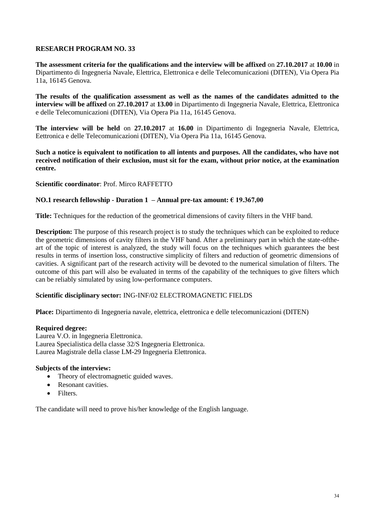**The assessment criteria for the qualifications and the interview will be affixed** on **27.10.2017** at **10.00** in Dipartimento di Ingegneria Navale, Elettrica, Elettronica e delle Telecomunicazioni (DITEN), Via Opera Pia 11a, 16145 Genova.

**The results of the qualification assessment as well as the names of the candidates admitted to the interview will be affixed** on **27.10.2017** at **13.00** in Dipartimento di Ingegneria Navale, Elettrica, Elettronica e delle Telecomunicazioni (DITEN), Via Opera Pia 11a, 16145 Genova.

**The interview will be held** on **27.10.2017** at **16.00** in Dipartimento di Ingegneria Navale, Elettrica, Eettronica e delle Telecomunicazioni (DITEN), Via Opera Pia 11a, 16145 Genova.

**Such a notice is equivalent to notification to all intents and purposes. All the candidates, who have not received notification of their exclusion, must sit for the exam, without prior notice, at the examination centre.**

### **Scientific coordinator**: Prof. Mirco RAFFETTO

### **NO.1 research fellowship - Duration 1 – Annual pre-tax amount: € 19.367,00**

**Title:** Techniques for the reduction of the geometrical dimensions of cavity filters in the VHF band.

**Description:** The purpose of this research project is to study the techniques which can be exploited to reduce the geometric dimensions of cavity filters in the VHF band. After a preliminary part in which the state-oftheart of the topic of interest is analyzed, the study will focus on the techniques which guarantees the best results in terms of insertion loss, constructive simplicity of filters and reduction of geometric dimensions of cavities. A significant part of the research activity will be devoted to the numerical simulation of filters. The outcome of this part will also be evaluated in terms of the capability of the techniques to give filters which can be reliably simulated by using low-performance computers.

### **Scientific disciplinary sector:** ING-INF/02 ELECTROMAGNETIC FIELDS

**Place:** Dipartimento di Ingegneria navale, elettrica, elettronica e delle telecomunicazioni (DITEN)

#### **Required degree:**

Laurea V.O. in Ingegneria Elettronica. Laurea Specialistica della classe 32/S Ingegneria Elettronica. Laurea Magistrale della classe LM-29 Ingegneria Elettronica.

### **Subjects of the interview:**

- Theory of electromagnetic guided waves.
- Resonant cavities.
- Filters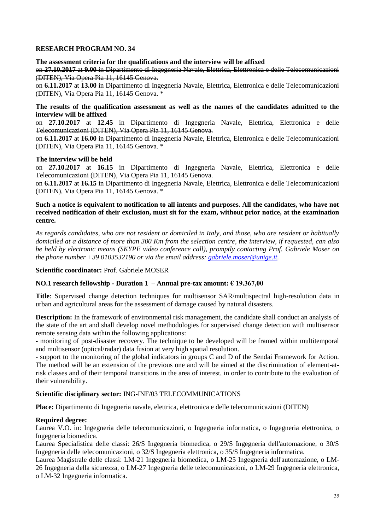**The assessment criteria for the qualifications and the interview will be affixed** 

on **27.10.2017** at **9.00** in Dipartimento di Ingegneria Navale, Elettrica, Elettronica e delle Telecomunicazioni (DITEN), Via Opera Pia 11, 16145 Genova.

on **6.11.2017** at **13.00** in Dipartimento di Ingegneria Navale, Elettrica, Elettronica e delle Telecomunicazioni (DITEN), Via Opera Pia 11, 16145 Genova. \*

**The results of the qualification assessment as well as the names of the candidates admitted to the interview will be affixed** 

on **27.10.2017** at **12.45** in Dipartimento di Ingegneria Navale, Elettrica, Elettronica e delle Telecomunicazioni (DITEN), Via Opera Pia 11, 16145 Genova.

on **6.11.2017** at **16.00** in Dipartimento di Ingegneria Navale, Elettrica, Elettronica e delle Telecomunicazioni (DITEN), Via Opera Pia 11, 16145 Genova. \*

### **The interview will be held**

on **27.10.2017** at **16.15** in Dipartimento di Ingegneria Navale, Elettrica, Elettronica e delle Telecomunicazioni (DITEN), Via Opera Pia 11, 16145 Genova.

on **6.11.2017** at **16.15** in Dipartimento di Ingegneria Navale, Elettrica, Elettronica e delle Telecomunicazioni (DITEN), Via Opera Pia 11, 16145 Genova. \*

### **Such a notice is equivalent to notification to all intents and purposes. All the candidates, who have not received notification of their exclusion, must sit for the exam, without prior notice, at the examination centre.**

*As regards candidates, who are not resident or domiciled in Italy, and those, who are resident or habitually domiciled at a distance of more than 300 Km from the selection centre, the interview, if requested, can also be held by electronic means (SKYPE video conference call), promptly contacting Prof. Gabriele Moser on the phone number +39 0103532190 or via the email address: [gabriele.moser@unige.it.](mailto:gabriele.moser@unige.it)* 

**Scientific coordinator:** Prof. Gabriele MOSER

### **NO.1 research fellowship - Duration 1 – Annual pre-tax amount: € 19.367,00**

**Title**: Supervised change detection techniques for multisensor SAR/multispectral high-resolution data in urban and agricultural areas for the assessment of damage caused by natural disasters.

**Description:** In the framework of environmental risk management, the candidate shall conduct an analysis of the state of the art and shall develop novel methodologies for supervised change detection with multisensor remote sensing data within the following applications:

- monitoring of post-disaster recovery. The technique to be developed will be framed within multitemporal and multisensor (optical/radar) data fusion at very high spatial resolution.

- support to the monitoring of the global indicators in groups C and D of the Sendai Framework for Action. The method will be an extension of the previous one and will be aimed at the discrimination of element-atrisk classes and of their temporal transitions in the area of interest, in order to contribute to the evaluation of their vulnerability.

### **Scientific disciplinary sector:** ING-INF/03 TELECOMMUNICATIONS

**Place:** Dipartimento di Ingegneria navale, elettrica, elettronica e delle telecomunicazioni (DITEN)

### **Required degree:**

Laurea V.O. in: Ingegneria delle telecomunicazioni, o Ingegneria informatica, o Ingegneria elettronica, o Ingegneria biomedica.

Laurea Specialistica delle classi: 26/S Ingegneria biomedica, o 29/S Ingegneria dell'automazione, o 30/S Ingegneria delle telecomunicazioni, o 32/S Ingegneria elettronica, o 35/S Ingegneria informatica.

Laurea Magistrale delle classi: LM-21 Ingegneria biomedica, o LM-25 Ingegneria dell'automazione, o LM-26 Ingegneria della sicurezza, o LM-27 Ingegneria delle telecomunicazioni, o LM-29 Ingegneria elettronica, o LM-32 Ingegneria informatica.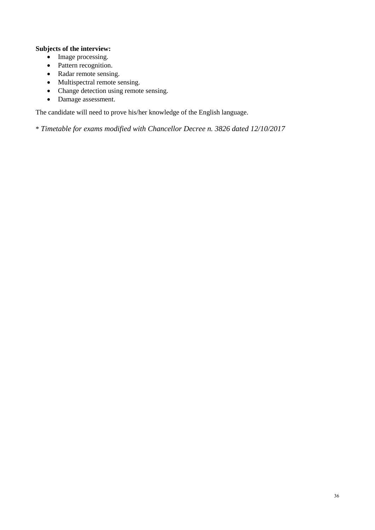# **Subjects of the interview:**

- Image processing.
- Pattern recognition.
- Radar remote sensing.
- Multispectral remote sensing.
- Change detection using remote sensing.
- Damage assessment.

The candidate will need to prove his/her knowledge of the English language.

\* *Timetable for exams modified with Chancellor Decree n. 3826 dated 12/10/2017*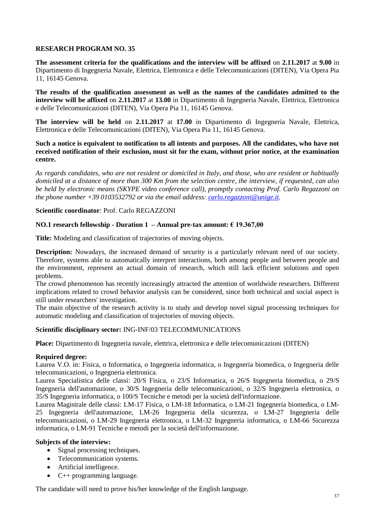**The assessment criteria for the qualifications and the interview will be affixed** on **2.11.2017** at **9.00** in Dipartimento di Ingegneria Navale, Elettrica, Elettronica e delle Telecomunicazioni (DITEN), Via Opera Pia 11, 16145 Genova.

**The results of the qualification assessment as well as the names of the candidates admitted to the interview will be affixed** on **2.11.2017** at **13.00** in Dipartimento di Ingegneria Navale, Elettrica, Elettronica e delle Telecomunicazioni (DITEN), Via Opera Pia 11, 16145 Genova.

**The interview will be held** on **2.11.2017** at **17.00** in Dipartimento di Ingegneria Navale, Elettrica, Elettronica e delle Telecomunicazioni (DITEN), Via Opera Pia 11, 16145 Genova.

**Such a notice is equivalent to notification to all intents and purposes. All the candidates, who have not received notification of their exclusion, must sit for the exam, without prior notice, at the examination centre.**

*As regards candidates, who are not resident or domiciled in Italy, and those, who are resident or habitually domiciled at a distance of more than 300 Km from the selection centre, the interview, if requested, can also be held by electronic means (SKYPE video conference call), promptly contacting Prof. Carlo Regazzoni on the phone number +39 0103532792 or via the email address: [carlo.regazzoni@unige.it.](mailto:carlo.regazzoni@unige.it)*

### **Scientific coordinator**: Prof. Carlo REGAZZONI

## **NO.1 research fellowship - Duration 1 – Annual pre-tax amount: € 19.367,00**

**Title:** Modeling and classification of trajectories of moving objects.

**Description:** Nowadays, the increased demand of security is a particularly relevant need of our society. Therefore, systems able to automatically interpret interactions, both among people and between people and the environment, represent an actual domain of research, which still lack efficient solutions and open problems.

The crowd phenomenon has recently increasingly attracted the attention of worldwide researchers. Different implications related to crowd behavior analysis can be considered, since both technical and social aspect is still under researchers' investigation.

The main objective of the research activity is to study and develop novel signal processing techniques for automatic modeling and classification of trajectories of moving objects.

### **Scientific disciplinary sector:** ING-INF/03 TELECOMMUNICATIONS

**Place:** Dipartimento di Ingegneria navale, elettrica, elettronica e delle telecomunicazioni (DITEN)

### **Required degree:**

Laurea V.O. in: Fisica, o Informatica, o Ingegneria informatica, o Ingegneria biomedica, o Ingegneria delle telecomunicazioni, o Ingegneria elettronica.

Laurea Specialistica delle classi: 20/S Fisica, o 23/S Informatica, o 26/S Ingegneria biomedica, o 29/S Ingegneria dell'automazione, o 30/S Ingegneria delle telecomunicazioni, o 32/S Ingegneria elettronica, o 35/S Ingegneria informatica, o 100/S Tecniche e metodi per la società dell'informazione.

Laurea Magistrale delle classi: LM-17 Fisica, o LM-18 Informatica, o LM-21 Ingegneria biomedica, o LM-25 Ingegneria dell'automazione, LM-26 Ingegneria della sicurezza, o LM-27 Ingegneria delle telecomunicazioni, o LM-29 Ingegneria elettronica, o LM-32 Ingegneria informatica, o LM-66 Sicurezza informatica, o LM-91 Tecniche e metodi per la società dell'informazione.

### **Subjects of the interview:**

- Signal processing techniques.
- Telecommunication systems.
- Artificial intelligence.
- C++ programming language.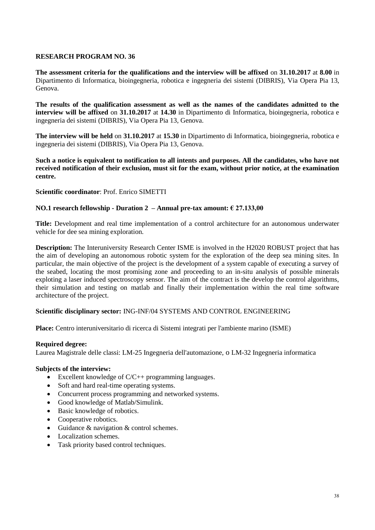**The assessment criteria for the qualifications and the interview will be affixed** on **31.10.2017** at **8.00** in Dipartimento di Informatica, bioingegneria, robotica e ingegneria dei sistemi (DIBRIS), Via Opera Pia 13, Genova.

**The results of the qualification assessment as well as the names of the candidates admitted to the interview will be affixed** on **31.10.2017** at **14.30** in Dipartimento di Informatica, bioingegneria, robotica e ingegneria dei sistemi (DIBRIS), Via Opera Pia 13, Genova.

**The interview will be held** on **31.10.2017** at **15.30** in Dipartimento di Informatica, bioingegneria, robotica e ingegneria dei sistemi (DIBRIS), Via Opera Pia 13, Genova.

**Such a notice is equivalent to notification to all intents and purposes. All the candidates, who have not received notification of their exclusion, must sit for the exam, without prior notice, at the examination centre.**

### **Scientific coordinator**: Prof. Enrico SIMETTI

### **NO.1 research fellowship - Duration 2 – Annual pre-tax amount: € 27.133,00**

**Title:** Development and real time implementation of a control architecture for an autonomous underwater vehicle for dee sea mining exploration.

**Description:** The Interuniversity Research Center ISME is involved in the H2020 ROBUST project that has the aim of developing an autonomous robotic system for the exploration of the deep sea mining sites. In particular, the main objective of the project is the development of a system capable of executing a survey of the seabed, locating the most promising zone and proceeding to an in-situ analysis of possible minerals exploting a laser induced spectroscopy sensor. The aim of the contract is the develop the control algorithms, their simulation and testing on matlab and finally their implementation within the real time software architecture of the project.

### **Scientific disciplinary sector:** ING-INF/04 SYSTEMS AND CONTROL ENGINEERING

**Place:** Centro interuniversitario di ricerca di Sistemi integrati per l'ambiente marino (ISME)

### **Required degree:**

Laurea Magistrale delle classi: LM-25 Ingegneria dell'automazione, o LM-32 Ingegneria informatica

#### **Subjects of the interview:**

- Excellent knowledge of C/C++ programming languages.
- Soft and hard real-time operating systems.
- Concurrent process programming and networked systems.
- Good knowledge of Matlab/Simulink.
- Basic knowledge of robotics.
- Cooperative robotics.
- Guidance & navigation & control schemes.
- Localization schemes.
- Task priority based control techniques.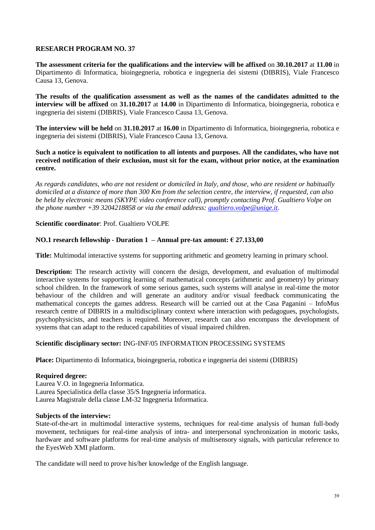**The assessment criteria for the qualifications and the interview will be affixed** on **30.10.2017** at **11.00** in Dipartimento di Informatica, bioingegneria, robotica e ingegneria dei sistemi (DIBRIS), Viale Francesco Causa 13, Genova.

**The results of the qualification assessment as well as the names of the candidates admitted to the interview will be affixed** on **31.10.2017** at **14.00** in Dipartimento di Informatica, bioingegneria, robotica e ingegneria dei sistemi (DIBRIS), Viale Francesco Causa 13, Genova.

**The interview will be held** on **31.10.2017** at **16.00** in Dipartimento di Informatica, bioingegneria, robotica e ingegneria dei sistemi (DIBRIS), Viale Francesco Causa 13, Genova.

### **Such a notice is equivalent to notification to all intents and purposes. All the candidates, who have not received notification of their exclusion, must sit for the exam, without prior notice, at the examination centre.**

*As regards candidates, who are not resident or domiciled in Italy, and those, who are resident or habitually domiciled at a distance of more than 300 Km from the selection centre, the interview, if requested, can also be held by electronic means (SKYPE video conference call), promptly contacting Prof. Gualtiero Volpe on the phone number +39 3204218858 or via the email address: [gualtiero.volpe@unige.it.](mailto:gualtiero.volpe@unige.it)*

### **Scientific coordinator**: Prof. Gualtiero VOLPE

## **NO.1 research fellowship - Duration 1 – Annual pre-tax amount: € 27.133,00**

**Title:** Multimodal interactive systems for supporting arithmetic and geometry learning in primary school.

**Description:** The research activity will concern the design, development, and evaluation of multimodal interactive systems for supporting learning of mathematical concepts (arithmetic and geometry) by primary school children. In the framework of some serious games, such systems will analyse in real-time the motor behaviour of the children and will generate an auditory and/or visual feedback communicating the mathematical concepts the games address. Research will be carried out at the Casa Paganini – InfoMus research centre of DIBRIS in a multidisciplinary context where interaction with pedagogues, psychologists, psychophysicists, and teachers is required. Moreover, research can also encompass the development of systems that can adapt to the reduced capabilities of visual impaired children.

### **Scientific disciplinary sector:** ING-INF/05 INFORMATION PROCESSING SYSTEMS

**Place:** Dipartimento di Informatica, bioingegneria, robotica e ingegneria dei sistemi (DIBRIS)

### **Required degree:**

Laurea V.O. in Ingegneria Informatica. Laurea Specialistica della classe 35/S Ingegneria informatica. Laurea Magistrale della classe LM-32 Ingegneria Informatica.

#### **Subjects of the interview:**

State-of-the-art in multimodal interactive systems, techniques for real-time analysis of human full-body movement, techniques for real-time analysis of intra- and interpersonal synchronization in motoric tasks, hardware and software platforms for real-time analysis of multisensory signals, with particular reference to the EyesWeb XMI platform.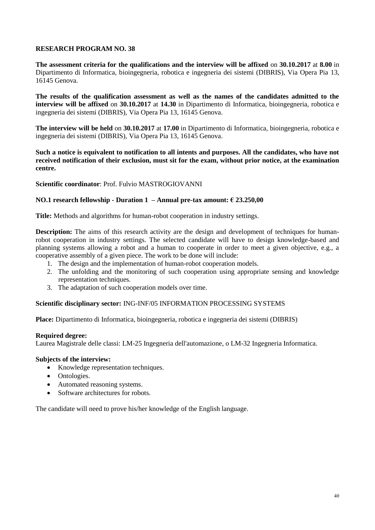**The assessment criteria for the qualifications and the interview will be affixed** on **30.10.2017** at **8.00** in Dipartimento di Informatica, bioingegneria, robotica e ingegneria dei sistemi (DIBRIS), Via Opera Pia 13, 16145 Genova.

**The results of the qualification assessment as well as the names of the candidates admitted to the interview will be affixed** on **30.10.2017** at **14.30** in Dipartimento di Informatica, bioingegneria, robotica e ingegneria dei sistemi (DIBRIS), Via Opera Pia 13, 16145 Genova.

**The interview will be held** on **30.10.2017** at **17.00** in Dipartimento di Informatica, bioingegneria, robotica e ingegneria dei sistemi (DIBRIS), Via Opera Pia 13, 16145 Genova.

**Such a notice is equivalent to notification to all intents and purposes. All the candidates, who have not received notification of their exclusion, must sit for the exam, without prior notice, at the examination centre.**

**Scientific coordinator**: Prof. Fulvio MASTROGIOVANNI

### **NO.1 research fellowship - Duration 1 – Annual pre-tax amount: € 23.250,00**

**Title:** Methods and algorithms for human-robot cooperation in industry settings.

**Description:** The aims of this research activity are the design and development of techniques for humanrobot cooperation in industry settings. The selected candidate will have to design knowledge-based and planning systems allowing a robot and a human to cooperate in order to meet a given objective, e.g., a cooperative assembly of a given piece. The work to be done will include:

- 1. The design and the implementation of human-robot cooperation models.
- 2. The unfolding and the monitoring of such cooperation using appropriate sensing and knowledge representation techniques.
- 3. The adaptation of such cooperation models over time.

#### **Scientific disciplinary sector:** ING-INF/05 INFORMATION PROCESSING SYSTEMS

**Place:** Dipartimento di Informatica, bioingegneria, robotica e ingegneria dei sistemi (DIBRIS)

#### **Required degree:**

Laurea Magistrale delle classi: LM-25 Ingegneria dell'automazione, o LM-32 Ingegneria Informatica.

#### **Subjects of the interview:**

- Knowledge representation techniques.
- Ontologies.
- Automated reasoning systems.
- Software architectures for robots.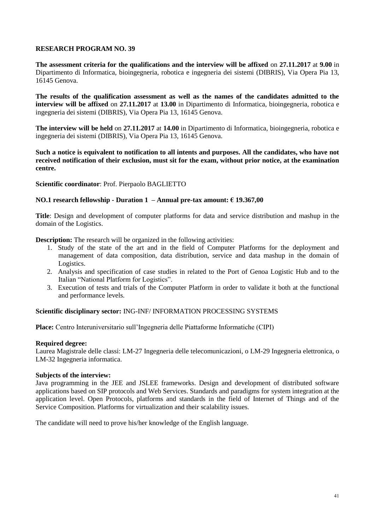**The assessment criteria for the qualifications and the interview will be affixed** on **27.11.2017** at **9.00** in Dipartimento di Informatica, bioingegneria, robotica e ingegneria dei sistemi (DIBRIS), Via Opera Pia 13, 16145 Genova.

**The results of the qualification assessment as well as the names of the candidates admitted to the interview will be affixed** on **27.11.2017** at **13.00** in Dipartimento di Informatica, bioingegneria, robotica e ingegneria dei sistemi (DIBRIS), Via Opera Pia 13, 16145 Genova.

**The interview will be held** on **27.11.2017** at **14.00** in Dipartimento di Informatica, bioingegneria, robotica e ingegneria dei sistemi (DIBRIS), Via Opera Pia 13, 16145 Genova.

**Such a notice is equivalent to notification to all intents and purposes. All the candidates, who have not received notification of their exclusion, must sit for the exam, without prior notice, at the examination centre.**

### **Scientific coordinator**: Prof. Pierpaolo BAGLIETTO

### **NO.1 research fellowship - Duration 1 – Annual pre-tax amount: € 19.367,00**

**Title**: Design and development of computer platforms for data and service distribution and mashup in the domain of the Logistics.

**Description:** The research will be organized in the following activities:

- 1. Study of the state of the art and in the field of Computer Platforms for the deployment and management of data composition, data distribution, service and data mashup in the domain of Logistics.
- 2. Analysis and specification of case studies in related to the Port of Genoa Logistic Hub and to the Italian "National Platform for Logistics".
- 3. Execution of tests and trials of the Computer Platform in order to validate it both at the functional and performance levels.

## **Scientific disciplinary sector:** ING-INF/ INFORMATION PROCESSING SYSTEMS

**Place:** Centro Interuniversitario sull'Ingegneria delle Piattaforme Informatiche (CIPI)

#### **Required degree:**

Laurea Magistrale delle classi: LM-27 Ingegneria delle telecomunicazioni, o LM-29 Ingegneria elettronica, o LM-32 Ingegneria informatica.

### **Subjects of the interview:**

Java programming in the JEE and JSLEE frameworks. Design and development of distributed software applications based on SIP protocols and Web Services. Standards and paradigms for system integration at the application level. Open Protocols, platforms and standards in the field of Internet of Things and of the Service Composition. Platforms for virtualization and their scalability issues.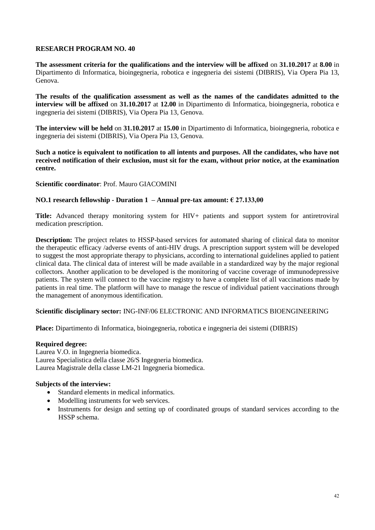**The assessment criteria for the qualifications and the interview will be affixed** on **31.10.2017** at **8.00** in Dipartimento di Informatica, bioingegneria, robotica e ingegneria dei sistemi (DIBRIS), Via Opera Pia 13, Genova.

**The results of the qualification assessment as well as the names of the candidates admitted to the interview will be affixed** on **31.10.2017** at **12.00** in Dipartimento di Informatica, bioingegneria, robotica e ingegneria dei sistemi (DIBRIS), Via Opera Pia 13, Genova.

**The interview will be held** on **31.10.2017** at **15.00** in Dipartimento di Informatica, bioingegneria, robotica e ingegneria dei sistemi (DIBRIS), Via Opera Pia 13, Genova.

**Such a notice is equivalent to notification to all intents and purposes. All the candidates, who have not received notification of their exclusion, must sit for the exam, without prior notice, at the examination centre.**

### **Scientific coordinator**: Prof. Mauro GIACOMINI

### **NO.1 research fellowship - Duration 1 – Annual pre-tax amount: € 27.133,00**

**Title:** Advanced therapy monitoring system for HIV+ patients and support system for antiretroviral medication prescription.

**Description:** The project relates to HSSP-based services for automated sharing of clinical data to monitor the therapeutic efficacy /adverse events of anti-HIV drugs. A prescription support system will be developed to suggest the most appropriate therapy to physicians, according to international guidelines applied to patient clinical data. The clinical data of interest will be made available in a standardized way by the major regional collectors. Another application to be developed is the monitoring of vaccine coverage of immunodepressive patients. The system will connect to the vaccine registry to have a complete list of all vaccinations made by patients in real time. The platform will have to manage the rescue of individual patient vaccinations through the management of anonymous identification.

### **Scientific disciplinary sector:** ING-INF/06 ELECTRONIC AND INFORMATICS BIOENGINEERING

**Place:** Dipartimento di Informatica, bioingegneria, robotica e ingegneria dei sistemi (DIBRIS)

### **Required degree:**

Laurea V.O. in Ingegneria biomedica. Laurea Specialistica della classe 26/S Ingegneria biomedica. Laurea Magistrale della classe LM-21 Ingegneria biomedica.

# **Subjects of the interview:**

- Standard elements in medical informatics.
- Modelling instruments for web services.
- Instruments for design and setting up of coordinated groups of standard services according to the HSSP schema.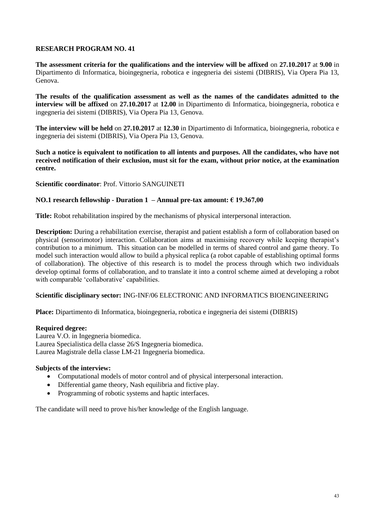**The assessment criteria for the qualifications and the interview will be affixed** on **27.10.2017** at **9.00** in Dipartimento di Informatica, bioingegneria, robotica e ingegneria dei sistemi (DIBRIS), Via Opera Pia 13, Genova.

**The results of the qualification assessment as well as the names of the candidates admitted to the interview will be affixed** on **27.10.2017** at **12.00** in Dipartimento di Informatica, bioingegneria, robotica e ingegneria dei sistemi (DIBRIS), Via Opera Pia 13, Genova.

**The interview will be held** on **27.10.2017** at **12.30** in Dipartimento di Informatica, bioingegneria, robotica e ingegneria dei sistemi (DIBRIS), Via Opera Pia 13, Genova.

**Such a notice is equivalent to notification to all intents and purposes. All the candidates, who have not received notification of their exclusion, must sit for the exam, without prior notice, at the examination centre.**

**Scientific coordinator**: Prof. Vittorio SANGUINETI

### **NO.1 research fellowship - Duration 1 – Annual pre-tax amount: € 19.367,00**

**Title:** Robot rehabilitation inspired by the mechanisms of physical interpersonal interaction.

**Description:** During a rehabilitation exercise, therapist and patient establish a form of collaboration based on physical (sensorimotor) interaction. Collaboration aims at maximising recovery while keeping therapist's contribution to a minimum. This situation can be modelled in terms of shared control and game theory. To model such interaction would allow to build a physical replica (a robot capable of establishing optimal forms of collaboration). The objective of this research is to model the process through which two individuals develop optimal forms of collaboration, and to translate it into a control scheme aimed at developing a robot with comparable 'collaborative' capabilities.

### **Scientific disciplinary sector:** ING-INF/06 ELECTRONIC AND INFORMATICS BIOENGINEERING

**Place:** Dipartimento di Informatica, bioingegneria, robotica e ingegneria dei sistemi (DIBRIS)

#### **Required degree:**

Laurea V.O. in Ingegneria biomedica. Laurea Specialistica della classe 26/S Ingegneria biomedica. Laurea Magistrale della classe LM-21 Ingegneria biomedica.

### **Subjects of the interview:**

- Computational models of motor control and of physical interpersonal interaction.
- Differential game theory, Nash equilibria and fictive play.
- Programming of robotic systems and haptic interfaces.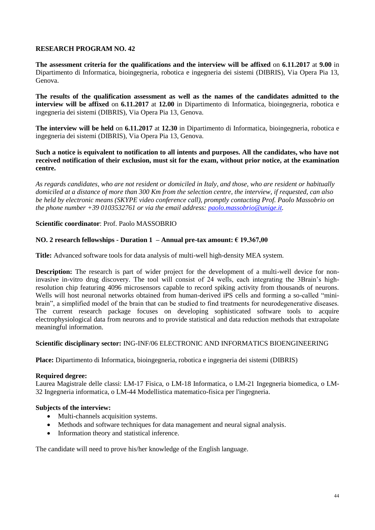**The assessment criteria for the qualifications and the interview will be affixed** on **6.11.2017** at **9.00** in Dipartimento di Informatica, bioingegneria, robotica e ingegneria dei sistemi (DIBRIS), Via Opera Pia 13, Genova.

**The results of the qualification assessment as well as the names of the candidates admitted to the interview will be affixed** on **6.11.2017** at **12.00** in Dipartimento di Informatica, bioingegneria, robotica e ingegneria dei sistemi (DIBRIS), Via Opera Pia 13, Genova.

**The interview will be held** on **6.11.2017** at **12.30** in Dipartimento di Informatica, bioingegneria, robotica e ingegneria dei sistemi (DIBRIS), Via Opera Pia 13, Genova.

### **Such a notice is equivalent to notification to all intents and purposes. All the candidates, who have not received notification of their exclusion, must sit for the exam, without prior notice, at the examination centre.**

*As regards candidates, who are not resident or domiciled in Italy, and those, who are resident or habitually domiciled at a distance of more than 300 Km from the selection centre, the interview, if requested, can also be held by electronic means (SKYPE video conference call), promptly contacting Prof. Paolo Massobrio on the phone number +39 0103532761 or via the email address: [paolo.massobrio@unige.it.](mailto:paolo.massobrio@unige.it)*

## **Scientific coordinator**: Prof. Paolo MASSOBRIO

## **NO. 2 research fellowships - Duration 1 – Annual pre-tax amount: € 19.367,00**

**Title:** Advanced software tools for data analysis of multi-well high-density MEA system.

**Description:** The research is part of wider project for the development of a multi-well device for noninvasive in-vitro drug discovery. The tool will consist of 24 wells, each integrating the 3Brain's highresolution chip featuring 4096 microsensors capable to record spiking activity from thousands of neurons. Wells will host neuronal networks obtained from human-derived iPS cells and forming a so-called "minibrain", a simplified model of the brain that can be studied to find treatments for neurodegenerative diseases. The current research package focuses on developing sophisticated software tools to acquire electrophysiological data from neurons and to provide statistical and data reduction methods that extrapolate meaningful information.

### **Scientific disciplinary sector:** ING-INF/06 ELECTRONIC AND INFORMATICS BIOENGINEERING

**Place:** Dipartimento di Informatica, bioingegneria, robotica e ingegneria dei sistemi (DIBRIS)

### **Required degree:**

Laurea Magistrale delle classi: LM-17 Fisica, o LM-18 Informatica, o LM-21 Ingegneria biomedica, o LM-32 Ingegneria informatica, o LM-44 Modellistica matematico-fisica per l'ingegneria.

### **Subjects of the interview:**

- Multi-channels acquisition systems.
- Methods and software techniques for data management and neural signal analysis.
- Information theory and statistical inference.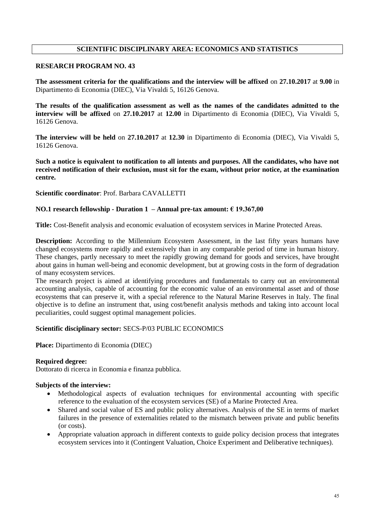# **SCIENTIFIC DISCIPLINARY AREA: ECONOMICS AND STATISTICS**

## **RESEARCH PROGRAM NO. 43**

**The assessment criteria for the qualifications and the interview will be affixed** on **27.10.2017** at **9.00** in Dipartimento di Economia (DIEC), Via Vivaldi 5, 16126 Genova.

**The results of the qualification assessment as well as the names of the candidates admitted to the interview will be affixed on 27.10.2017** at 12.00 in Dipartimento di Economia (DIEC), Via Vivaldi 5, 16126 Genova.

**The interview will be held** on **27.10.2017** at **12.30** in Dipartimento di Economia (DIEC), Via Vivaldi 5, 16126 Genova.

**Such a notice is equivalent to notification to all intents and purposes. All the candidates, who have not received notification of their exclusion, must sit for the exam, without prior notice, at the examination centre.**

**Scientific coordinator**: Prof. Barbara CAVALLETTI

### **NO.1 research fellowship - Duration 1 – Annual pre-tax amount: € 19.367,00**

**Title:** Cost-Benefit analysis and economic evaluation of ecosystem services in Marine Protected Areas.

**Description:** According to the Millennium Ecosystem Assessment, in the last fifty years humans have changed ecosystems more rapidly and extensively than in any comparable period of time in human history. These changes, partly necessary to meet the rapidly growing demand for goods and services, have brought about gains in human well-being and economic development, but at growing costs in the form of degradation of many ecosystem services.

The research project is aimed at identifying procedures and fundamentals to carry out an environmental accounting analysis, capable of accounting for the economic value of an environmental asset and of those ecosystems that can preserve it, with a special reference to the Natural Marine Reserves in Italy. The final objective is to define an instrument that, using cost/benefit analysis methods and taking into account local peculiarities, could suggest optimal management policies.

### **Scientific disciplinary sector:** SECS-P/03 PUBLIC ECONOMICS

**Place:** Dipartimento di Economia (DIEC)

### **Required degree:**

Dottorato di ricerca in Economia e finanza pubblica.

#### **Subjects of the interview:**

- Methodological aspects of evaluation techniques for environmental accounting with specific reference to the evaluation of the ecosystem services (SE) of a Marine Protected Area.
- Shared and social value of ES and public policy alternatives. Analysis of the SE in terms of market failures in the presence of externalities related to the mismatch between private and public benefits (or costs).
- Appropriate valuation approach in different contexts to guide policy decision process that integrates ecosystem services into it (Contingent Valuation, Choice Experiment and Deliberative techniques).